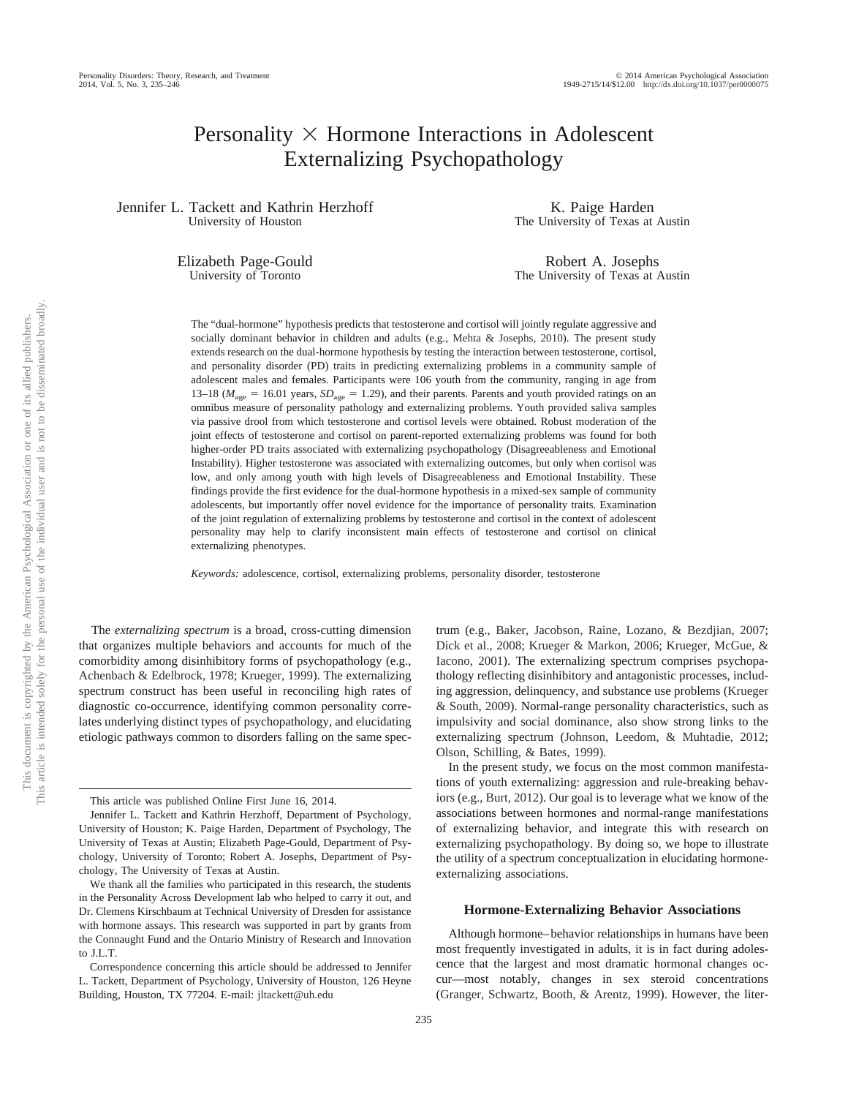# Personality  $\times$  Hormone Interactions in Adolescent Externalizing Psychopathology

Jennifer L. Tackett and Kathrin Herzhoff University of Houston

K. Paige Harden The University of Texas at Austin

Elizabeth Page-Gould University of Toronto

Robert A. Josephs The University of Texas at Austin

The "dual-hormone" hypothesis predicts that testosterone and cortisol will jointly regulate aggressive and socially dominant behavior in children and adults (e.g., Mehta & Josephs, 2010). The present study extends research on the dual-hormone hypothesis by testing the interaction between testosterone, cortisol, and personality disorder (PD) traits in predicting externalizing problems in a community sample of adolescent males and females. Participants were 106 youth from the community, ranging in age from 13–18 ( $M_{\text{age}} = 16.01$  years,  $SD_{\text{age}} = 1.29$ ), and their parents. Parents and youth provided ratings on an omnibus measure of personality pathology and externalizing problems. Youth provided saliva samples via passive drool from which testosterone and cortisol levels were obtained. Robust moderation of the joint effects of testosterone and cortisol on parent-reported externalizing problems was found for both higher-order PD traits associated with externalizing psychopathology (Disagreeableness and Emotional Instability). Higher testosterone was associated with externalizing outcomes, but only when cortisol was low, and only among youth with high levels of Disagreeableness and Emotional Instability. These findings provide the first evidence for the dual-hormone hypothesis in a mixed-sex sample of community adolescents, but importantly offer novel evidence for the importance of personality traits. Examination of the joint regulation of externalizing problems by testosterone and cortisol in the context of adolescent personality may help to clarify inconsistent main effects of testosterone and cortisol on clinical externalizing phenotypes.

*Keywords:* adolescence, cortisol, externalizing problems, personality disorder, testosterone

The *externalizing spectrum* is a broad, cross-cutting dimension that organizes multiple behaviors and accounts for much of the comorbidity among disinhibitory forms of psychopathology (e.g., Achenbach & Edelbrock, 1978; Krueger, 1999). The externalizing spectrum construct has been useful in reconciling high rates of diagnostic co-occurrence, identifying common personality correlates underlying distinct types of psychopathology, and elucidating etiologic pathways common to disorders falling on the same spectrum (e.g., Baker, Jacobson, Raine, Lozano, & Bezdjian, 2007; Dick et al., 2008; Krueger & Markon, 2006; Krueger, McGue, & Iacono, 2001). The externalizing spectrum comprises psychopathology reflecting disinhibitory and antagonistic processes, including aggression, delinquency, and substance use problems (Krueger & South, 2009). Normal-range personality characteristics, such as impulsivity and social dominance, also show strong links to the externalizing spectrum (Johnson, Leedom, & Muhtadie, 2012; Olson, Schilling, & Bates, 1999).

In the present study, we focus on the most common manifestations of youth externalizing: aggression and rule-breaking behaviors (e.g., Burt, 2012). Our goal is to leverage what we know of the associations between hormones and normal-range manifestations of externalizing behavior, and integrate this with research on externalizing psychopathology. By doing so, we hope to illustrate the utility of a spectrum conceptualization in elucidating hormoneexternalizing associations.

#### **Hormone-Externalizing Behavior Associations**

Although hormone– behavior relationships in humans have been most frequently investigated in adults, it is in fact during adolescence that the largest and most dramatic hormonal changes occur—most notably, changes in sex steroid concentrations (Granger, Schwartz, Booth, & Arentz, 1999). However, the liter-

This article was published Online First June 16, 2014.

Jennifer L. Tackett and Kathrin Herzhoff, Department of Psychology, University of Houston; K. Paige Harden, Department of Psychology, The University of Texas at Austin; Elizabeth Page-Gould, Department of Psychology, University of Toronto; Robert A. Josephs, Department of Psychology, The University of Texas at Austin.

We thank all the families who participated in this research, the students in the Personality Across Development lab who helped to carry it out, and Dr. Clemens Kirschbaum at Technical University of Dresden for assistance with hormone assays. This research was supported in part by grants from the Connaught Fund and the Ontario Ministry of Research and Innovation to J.L.T.

Correspondence concerning this article should be addressed to Jennifer L. Tackett, Department of Psychology, University of Houston, 126 Heyne Building, Houston, TX 77204. E-mail: jltackett@uh.edu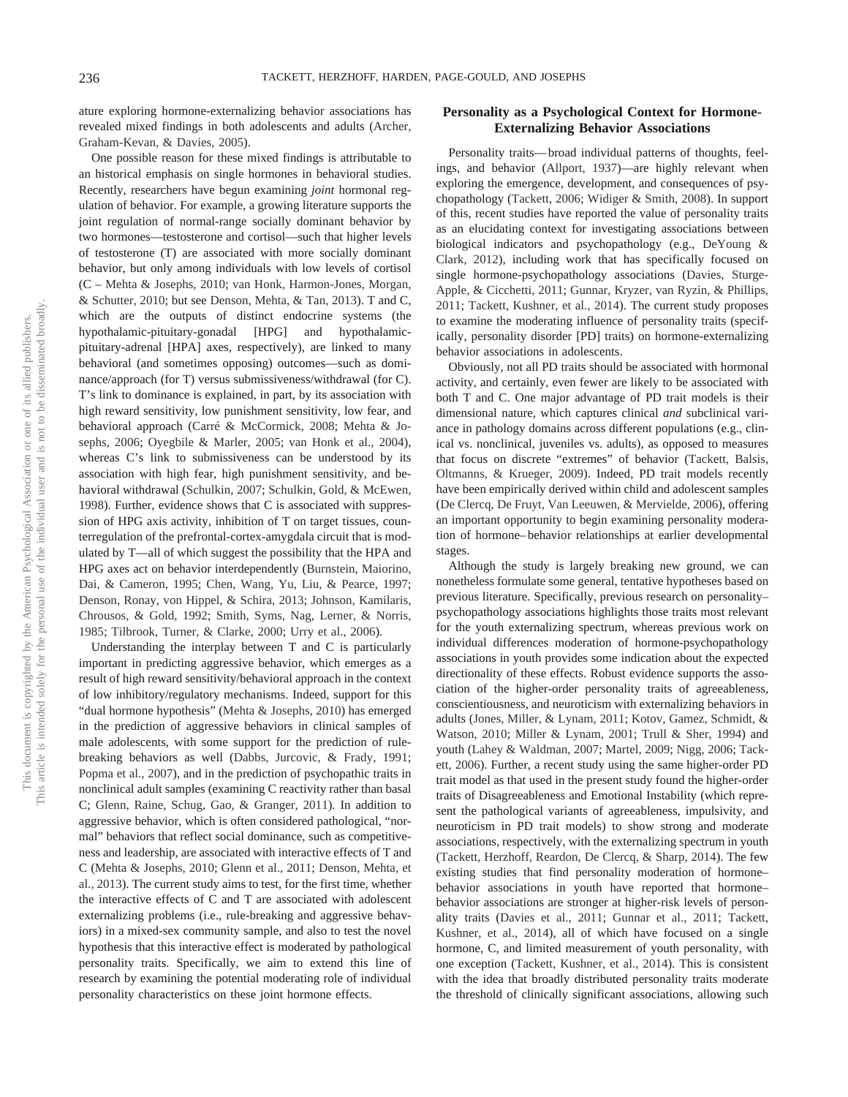ature exploring hormone-externalizing behavior associations has revealed mixed findings in both adolescents and adults (Archer, Graham-Kevan, & Davies, 2005).

One possible reason for these mixed findings is attributable to an historical emphasis on single hormones in behavioral studies. Recently, researchers have begun examining *joint* hormonal regulation of behavior. For example, a growing literature supports the joint regulation of normal-range socially dominant behavior by two hormones—testosterone and cortisol—such that higher levels of testosterone (T) are associated with more socially dominant behavior, but only among individuals with low levels of cortisol (C – Mehta & Josephs, 2010; van Honk, Harmon-Jones, Morgan, & Schutter, 2010; but see Denson, Mehta, & Tan, 2013). T and C, which are the outputs of distinct endocrine systems (the hypothalamic-pituitary-gonadal [HPG] and hypothalamicpituitary-adrenal [HPA] axes, respectively), are linked to many behavioral (and sometimes opposing) outcomes—such as dominance/approach (for T) versus submissiveness/withdrawal (for C). T's link to dominance is explained, in part, by its association with high reward sensitivity, low punishment sensitivity, low fear, and behavioral approach (Carré & McCormick, 2008; Mehta & Josephs, 2006; Oyegbile & Marler, 2005; van Honk et al., 2004), whereas C's link to submissiveness can be understood by its association with high fear, high punishment sensitivity, and behavioral withdrawal (Schulkin, 2007; Schulkin, Gold, & McEwen, 1998). Further, evidence shows that C is associated with suppression of HPG axis activity, inhibition of T on target tissues, counterregulation of the prefrontal-cortex-amygdala circuit that is modulated by T—all of which suggest the possibility that the HPA and HPG axes act on behavior interdependently (Burnstein, Maiorino, Dai, & Cameron, 1995; Chen, Wang, Yu, Liu, & Pearce, 1997; Denson, Ronay, von Hippel, & Schira, 2013; Johnson, Kamilaris, Chrousos, & Gold, 1992; Smith, Syms, Nag, Lerner, & Norris, 1985; Tilbrook, Turner, & Clarke, 2000; Urry et al., 2006).

Understanding the interplay between T and C is particularly important in predicting aggressive behavior, which emerges as a result of high reward sensitivity/behavioral approach in the context of low inhibitory/regulatory mechanisms. Indeed, support for this "dual hormone hypothesis" (Mehta & Josephs, 2010) has emerged in the prediction of aggressive behaviors in clinical samples of male adolescents, with some support for the prediction of rulebreaking behaviors as well (Dabbs, Jurcovic, & Frady, 1991; Popma et al., 2007), and in the prediction of psychopathic traits in nonclinical adult samples (examining C reactivity rather than basal C; Glenn, Raine, Schug, Gao, & Granger, 2011). In addition to aggressive behavior, which is often considered pathological, "normal" behaviors that reflect social dominance, such as competitiveness and leadership, are associated with interactive effects of T and C (Mehta & Josephs, 2010; Glenn et al., 2011; Denson, Mehta, et al., 2013). The current study aims to test, for the first time, whether the interactive effects of C and T are associated with adolescent externalizing problems (i.e., rule-breaking and aggressive behaviors) in a mixed-sex community sample, and also to test the novel hypothesis that this interactive effect is moderated by pathological personality traits. Specifically, we aim to extend this line of research by examining the potential moderating role of individual personality characteristics on these joint hormone effects.

# **Personality as a Psychological Context for Hormone-Externalizing Behavior Associations**

Personality traits— broad individual patterns of thoughts, feelings, and behavior (Allport, 1937)—are highly relevant when exploring the emergence, development, and consequences of psychopathology (Tackett, 2006; Widiger & Smith, 2008). In support of this, recent studies have reported the value of personality traits as an elucidating context for investigating associations between biological indicators and psychopathology (e.g., DeYoung & Clark, 2012), including work that has specifically focused on single hormone-psychopathology associations (Davies, Sturge-Apple, & Cicchetti, 2011; Gunnar, Kryzer, van Ryzin, & Phillips, 2011; Tackett, Kushner, et al., 2014). The current study proposes to examine the moderating influence of personality traits (specifically, personality disorder [PD] traits) on hormone-externalizing behavior associations in adolescents.

Obviously, not all PD traits should be associated with hormonal activity, and certainly, even fewer are likely to be associated with both T and C. One major advantage of PD trait models is their dimensional nature, which captures clinical *and* subclinical variance in pathology domains across different populations (e.g., clinical vs. nonclinical, juveniles vs. adults), as opposed to measures that focus on discrete "extremes" of behavior (Tackett, Balsis, Oltmanns, & Krueger, 2009). Indeed, PD trait models recently have been empirically derived within child and adolescent samples (De Clercq, De Fruyt, Van Leeuwen, & Mervielde, 2006), offering an important opportunity to begin examining personality moderation of hormone– behavior relationships at earlier developmental stages.

Although the study is largely breaking new ground, we can nonetheless formulate some general, tentative hypotheses based on previous literature. Specifically, previous research on personality– psychopathology associations highlights those traits most relevant for the youth externalizing spectrum, whereas previous work on individual differences moderation of hormone-psychopathology associations in youth provides some indication about the expected directionality of these effects. Robust evidence supports the association of the higher-order personality traits of agreeableness, conscientiousness, and neuroticism with externalizing behaviors in adults (Jones, Miller, & Lynam, 2011; Kotov, Gamez, Schmidt, & Watson, 2010; Miller & Lynam, 2001; Trull & Sher, 1994) and youth (Lahey & Waldman, 2007; Martel, 2009; Nigg, 2006; Tackett, 2006). Further, a recent study using the same higher-order PD trait model as that used in the present study found the higher-order traits of Disagreeableness and Emotional Instability (which represent the pathological variants of agreeableness, impulsivity, and neuroticism in PD trait models) to show strong and moderate associations, respectively, with the externalizing spectrum in youth (Tackett, Herzhoff, Reardon, De Clercq, & Sharp, 2014). The few existing studies that find personality moderation of hormone– behavior associations in youth have reported that hormone– behavior associations are stronger at higher-risk levels of personality traits (Davies et al., 2011; Gunnar et al., 2011; Tackett, Kushner, et al., 2014), all of which have focused on a single hormone, C, and limited measurement of youth personality, with one exception (Tackett, Kushner, et al., 2014). This is consistent with the idea that broadly distributed personality traits moderate the threshold of clinically significant associations, allowing such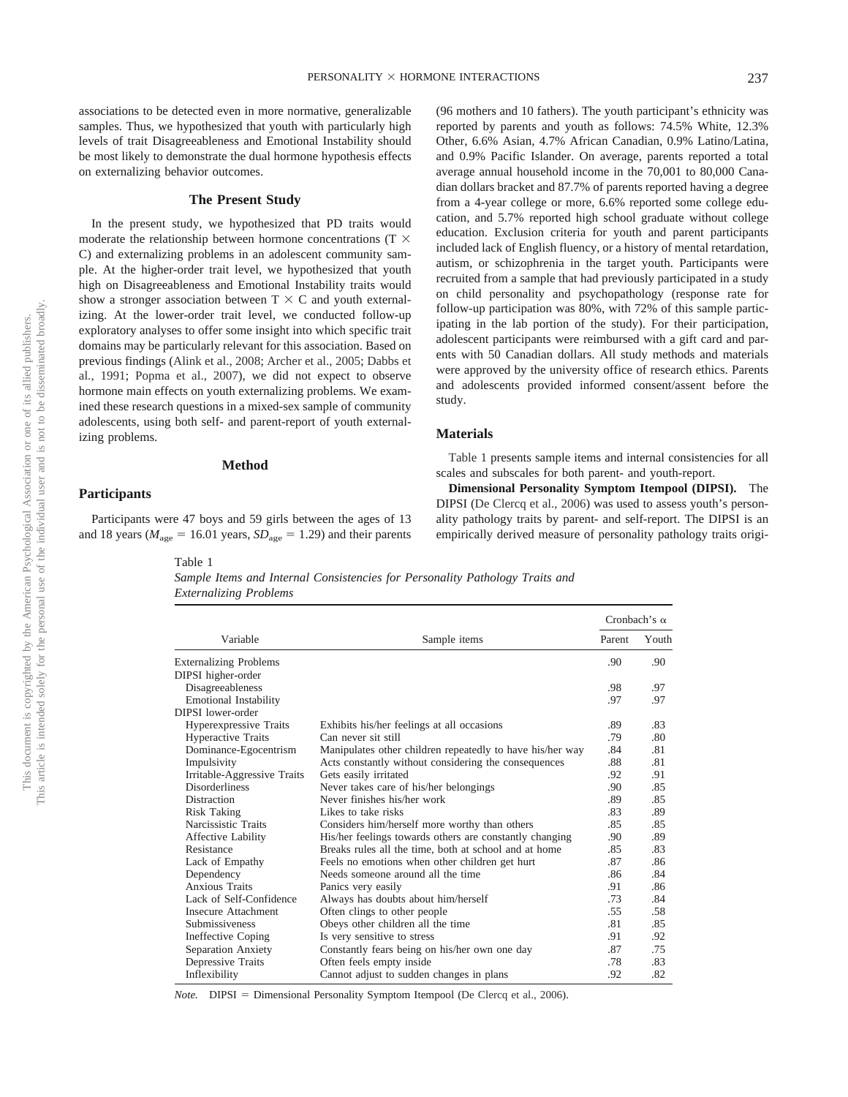associations to be detected even in more normative, generalizable samples. Thus, we hypothesized that youth with particularly high levels of trait Disagreeableness and Emotional Instability should be most likely to demonstrate the dual hormone hypothesis effects on externalizing behavior outcomes.

#### **The Present Study**

In the present study, we hypothesized that PD traits would moderate the relationship between hormone concentrations (T  $\times$ C) and externalizing problems in an adolescent community sample. At the higher-order trait level, we hypothesized that youth high on Disagreeableness and Emotional Instability traits would show a stronger association between  $T \times C$  and youth externalizing. At the lower-order trait level, we conducted follow-up exploratory analyses to offer some insight into which specific trait domains may be particularly relevant for this association. Based on previous findings (Alink et al., 2008; Archer et al., 2005; Dabbs et al., 1991; Popma et al., 2007), we did not expect to observe hormone main effects on youth externalizing problems. We examined these research questions in a mixed-sex sample of community adolescents, using both self- and parent-report of youth externalizing problems.

# **Method**

# **Participants**

Participants were 47 boys and 59 girls between the ages of 13 and 18 years ( $M_{\text{age}} = 16.01$  years,  $SD_{\text{age}} = 1.29$ ) and their parents

Table 1

(96 mothers and 10 fathers). The youth participant's ethnicity was reported by parents and youth as follows: 74.5% White, 12.3% Other, 6.6% Asian, 4.7% African Canadian, 0.9% Latino/Latina, and 0.9% Pacific Islander. On average, parents reported a total average annual household income in the 70,001 to 80,000 Canadian dollars bracket and 87.7% of parents reported having a degree from a 4-year college or more, 6.6% reported some college education, and 5.7% reported high school graduate without college education. Exclusion criteria for youth and parent participants included lack of English fluency, or a history of mental retardation, autism, or schizophrenia in the target youth. Participants were recruited from a sample that had previously participated in a study on child personality and psychopathology (response rate for follow-up participation was 80%, with 72% of this sample participating in the lab portion of the study). For their participation, adolescent participants were reimbursed with a gift card and parents with 50 Canadian dollars. All study methods and materials were approved by the university office of research ethics. Parents and adolescents provided informed consent/assent before the study.

## **Materials**

Table 1 presents sample items and internal consistencies for all scales and subscales for both parent- and youth-report.

**Dimensional Personality Symptom Itempool (DIPSI).** The DIPSI (De Clercq et al., 2006) was used to assess youth's personality pathology traits by parent- and self-report. The DIPSI is an empirically derived measure of personality pathology traits origi-

*Sample Items and Internal Consistencies for Personality Pathology Traits and Externalizing Problems*

|                               |                                                           | Cronbach's $\alpha$ |       |
|-------------------------------|-----------------------------------------------------------|---------------------|-------|
| Variable                      | Sample items                                              | Parent              | Youth |
| <b>Externalizing Problems</b> |                                                           | .90                 | .90   |
| DIPSI higher-order            |                                                           |                     |       |
| Disagreeableness              |                                                           | .98                 | .97   |
| <b>Emotional Instability</b>  |                                                           | .97                 | .97   |
| DIPSI lower-order             |                                                           |                     |       |
| <b>Hyperexpressive Traits</b> | Exhibits his/her feelings at all occasions                | .89                 | .83   |
| <b>Hyperactive Traits</b>     | Can never sit still                                       | .79                 | .80   |
| Dominance-Egocentrism         | Manipulates other children repeatedly to have his/her way | .84                 | .81   |
| Impulsivity                   | Acts constantly without considering the consequences      | .88                 | .81   |
| Irritable-Aggressive Traits   | Gets easily irritated                                     | .92                 | .91   |
| <b>Disorderliness</b>         | Never takes care of his/her belongings                    | .90                 | .85   |
| Distraction                   | Never finishes his/her work                               | .89                 | .85   |
| Risk Taking                   | Likes to take risks                                       | .83                 | .89   |
| Narcissistic Traits           | Considers him/herself more worthy than others             | .85                 | .85   |
| Affective Lability            | His/her feelings towards others are constantly changing   | .90                 | .89   |
| Resistance                    | Breaks rules all the time, both at school and at home     | .85                 | .83   |
| Lack of Empathy               | Feels no emotions when other children get hurt            | .87                 | .86   |
| Dependency                    | Needs someone around all the time                         | .86                 | .84   |
| <b>Anxious Traits</b>         | Panics very easily                                        | .91                 | .86   |
| Lack of Self-Confidence       | Always has doubts about him/herself                       | .73                 | .84   |
| <b>Insecure Attachment</b>    | Often clings to other people                              | .55                 | .58   |
| Submissiveness                | Obeys other children all the time                         | .81                 | .85   |
| Ineffective Coping            | Is very sensitive to stress                               | .91                 | .92   |
| Separation Anxiety            | Constantly fears being on his/her own one day             | .87                 | .75   |
| Depressive Traits             | Often feels empty inside                                  | .78                 | .83   |
| Inflexibility                 | Cannot adjust to sudden changes in plans                  | .92                 | .82   |

*Note.* DIPSI = Dimensional Personality Symptom Itempool (De Clercq et al., 2006).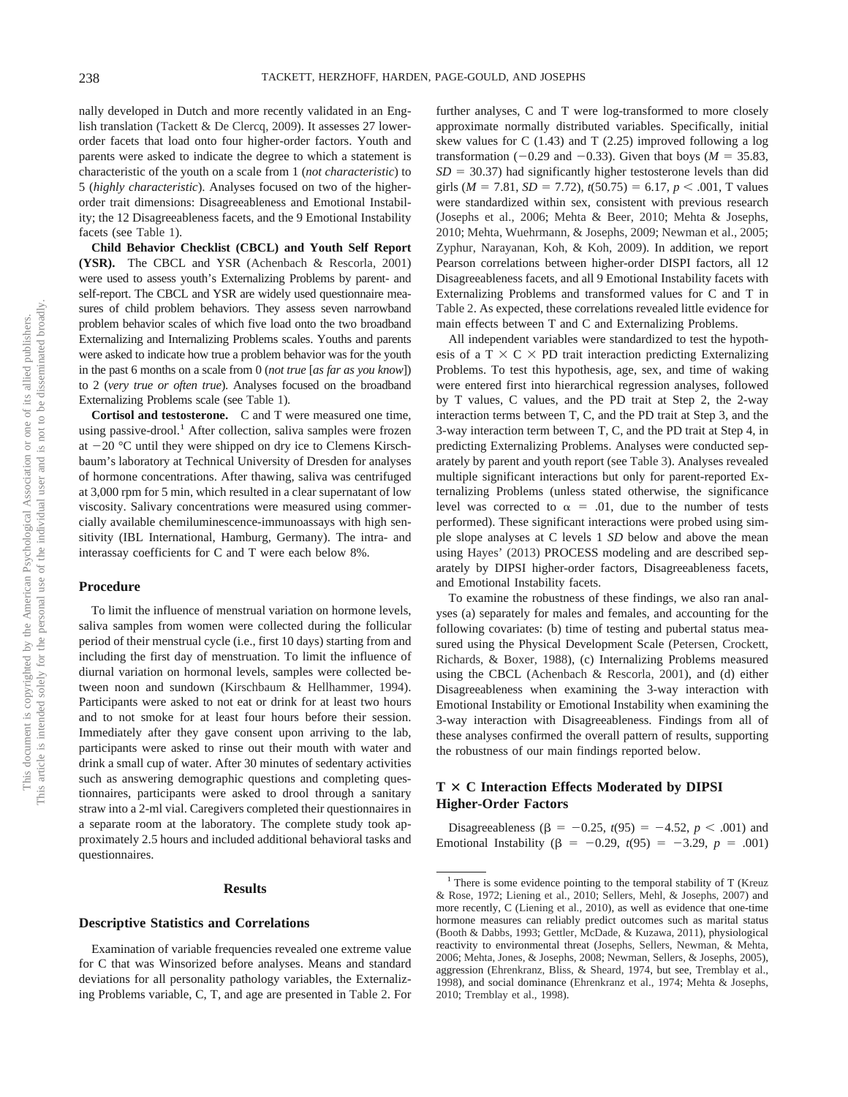nally developed in Dutch and more recently validated in an English translation (Tackett & De Clercq, 2009). It assesses 27 lowerorder facets that load onto four higher-order factors. Youth and parents were asked to indicate the degree to which a statement is characteristic of the youth on a scale from 1 (*not characteristic*) to 5 (*highly characteristic*). Analyses focused on two of the higherorder trait dimensions: Disagreeableness and Emotional Instability; the 12 Disagreeableness facets, and the 9 Emotional Instability facets (see Table 1).

**Child Behavior Checklist (CBCL) and Youth Self Report (YSR).** The CBCL and YSR (Achenbach & Rescorla, 2001) were used to assess youth's Externalizing Problems by parent- and self-report. The CBCL and YSR are widely used questionnaire measures of child problem behaviors. They assess seven narrowband problem behavior scales of which five load onto the two broadband Externalizing and Internalizing Problems scales. Youths and parents were asked to indicate how true a problem behavior was for the youth in the past 6 months on a scale from 0 (*not true* [*as far as you know*]) to 2 (*very true or often true*). Analyses focused on the broadband Externalizing Problems scale (see Table 1).

**Cortisol and testosterone.** C and T were measured one time, using passive-drool.<sup>1</sup> After collection, saliva samples were frozen at  $-20$  °C until they were shipped on dry ice to Clemens Kirschbaum's laboratory at Technical University of Dresden for analyses of hormone concentrations. After thawing, saliva was centrifuged at 3,000 rpm for 5 min, which resulted in a clear supernatant of low viscosity. Salivary concentrations were measured using commercially available chemiluminescence-immunoassays with high sensitivity (IBL International, Hamburg, Germany). The intra- and interassay coefficients for C and T were each below 8%.

#### **Procedure**

To limit the influence of menstrual variation on hormone levels, saliva samples from women were collected during the follicular period of their menstrual cycle (i.e., first 10 days) starting from and including the first day of menstruation. To limit the influence of diurnal variation on hormonal levels, samples were collected between noon and sundown (Kirschbaum & Hellhammer, 1994). Participants were asked to not eat or drink for at least two hours and to not smoke for at least four hours before their session. Immediately after they gave consent upon arriving to the lab, participants were asked to rinse out their mouth with water and drink a small cup of water. After 30 minutes of sedentary activities such as answering demographic questions and completing questionnaires, participants were asked to drool through a sanitary straw into a 2-ml vial. Caregivers completed their questionnaires in a separate room at the laboratory. The complete study took approximately 2.5 hours and included additional behavioral tasks and questionnaires.

#### **Results**

#### **Descriptive Statistics and Correlations**

Examination of variable frequencies revealed one extreme value for C that was Winsorized before analyses. Means and standard deviations for all personality pathology variables, the Externalizing Problems variable, C, T, and age are presented in Table 2. For further analyses, C and T were log-transformed to more closely approximate normally distributed variables. Specifically, initial skew values for C  $(1.43)$  and T  $(2.25)$  improved following a log transformation ( $-0.29$  and  $-0.33$ ). Given that boys ( $M = 35.83$ ,  $SD = 30.37$ ) had significantly higher testosterone levels than did girls ( $M = 7.81$ ,  $SD = 7.72$ ),  $t(50.75) = 6.17$ ,  $p < .001$ , T values were standardized within sex, consistent with previous research (Josephs et al., 2006; Mehta & Beer, 2010; Mehta & Josephs, 2010; Mehta, Wuehrmann, & Josephs, 2009; Newman et al., 2005; Zyphur, Narayanan, Koh, & Koh, 2009). In addition, we report Pearson correlations between higher-order DISPI factors, all 12 Disagreeableness facets, and all 9 Emotional Instability facets with Externalizing Problems and transformed values for C and T in Table 2. As expected, these correlations revealed little evidence for main effects between T and C and Externalizing Problems.

All independent variables were standardized to test the hypothesis of a  $T \times C \times PD$  trait interaction predicting Externalizing Problems. To test this hypothesis, age, sex, and time of waking were entered first into hierarchical regression analyses, followed by T values, C values, and the PD trait at Step 2, the 2-way interaction terms between T, C, and the PD trait at Step 3, and the 3-way interaction term between T, C, and the PD trait at Step 4, in predicting Externalizing Problems. Analyses were conducted separately by parent and youth report (see Table 3). Analyses revealed multiple significant interactions but only for parent-reported Externalizing Problems (unless stated otherwise, the significance level was corrected to  $\alpha = .01$ , due to the number of tests performed). These significant interactions were probed using simple slope analyses at C levels 1 *SD* below and above the mean using Hayes' (2013) PROCESS modeling and are described separately by DIPSI higher-order factors, Disagreeableness facets, and Emotional Instability facets.

To examine the robustness of these findings, we also ran analyses (a) separately for males and females, and accounting for the following covariates: (b) time of testing and pubertal status measured using the Physical Development Scale (Petersen, Crockett, Richards, & Boxer, 1988), (c) Internalizing Problems measured using the CBCL (Achenbach & Rescorla, 2001), and (d) either Disagreeableness when examining the 3-way interaction with Emotional Instability or Emotional Instability when examining the 3-way interaction with Disagreeableness. Findings from all of these analyses confirmed the overall pattern of results, supporting the robustness of our main findings reported below.

# **T** - **C Interaction Effects Moderated by DIPSI Higher-Order Factors**

Disagreeableness ( $\beta = -0.25$ ,  $t(95) = -4.52$ ,  $p < .001$ ) and Emotional Instability ( $\beta = -0.29$ ,  $t(95) = -3.29$ ,  $p = .001$ )

 $1$ <sup>1</sup> There is some evidence pointing to the temporal stability of T (Kreuz & Rose, 1972; Liening et al., 2010; Sellers, Mehl, & Josephs, 2007) and more recently, C (Liening et al., 2010), as well as evidence that one-time hormone measures can reliably predict outcomes such as marital status (Booth & Dabbs, 1993; Gettler, McDade, & Kuzawa, 2011), physiological reactivity to environmental threat (Josephs, Sellers, Newman, & Mehta, 2006; Mehta, Jones, & Josephs, 2008; Newman, Sellers, & Josephs, 2005), aggression (Ehrenkranz, Bliss, & Sheard, 1974, but see, Tremblay et al., 1998), and social dominance (Ehrenkranz et al., 1974; Mehta & Josephs, 2010; Tremblay et al., 1998).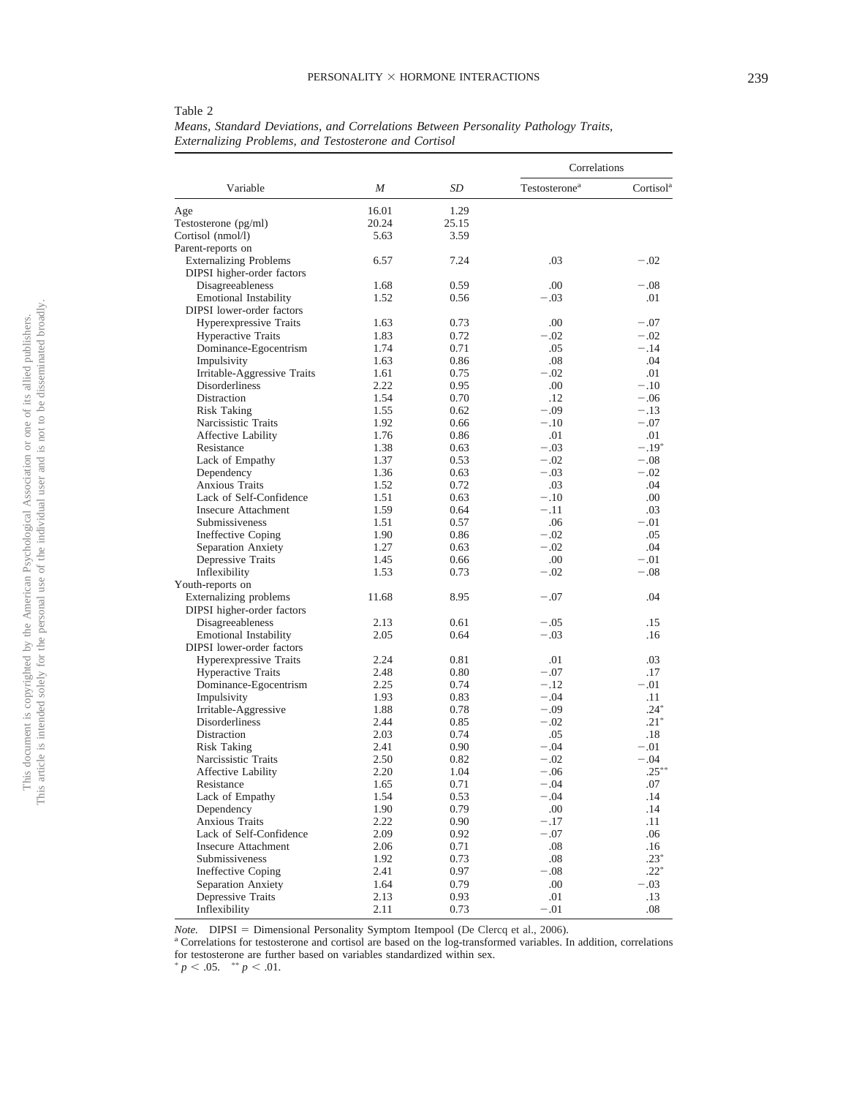| Table 2                                                                            |
|------------------------------------------------------------------------------------|
| Means, Standard Deviations, and Correlations Between Personality Pathology Traits, |
| Externalizing Problems, and Testosterone and Cortisol                              |

| Testosterone <sup>a</sup><br>Cortisol <sup>a</sup><br>Variable<br>SD<br>M<br>16.01<br>1.29<br>Age<br>20.24<br>25.15<br>Cortisol (nmol/l)<br>3.59<br>5.63<br><b>Externalizing Problems</b><br>6.57<br>7.24<br>.03<br>$-.02$<br>DIPSI higher-order factors<br>Disagreeableness<br>1.68<br>0.59<br>.00<br>$-.08$<br>Emotional Instability<br>1.52<br>$-.03$<br>.01<br>0.56<br>DIPSI lower-order factors<br>Hyperexpressive Traits<br>.00<br>$-.07$<br>1.63<br>0.73<br>$-.02$<br>Hyperactive Traits<br>1.83<br>0.72<br>$-.02$<br>Dominance-Egocentrism<br>1.74<br>0.71<br>.05<br>$-.14$<br>Impulsivity<br>1.63<br>0.86<br>.08<br>.04<br>Irritable-Aggressive Traits<br>1.61<br>0.75<br>$-.02$<br>.01<br>Disorderliness<br>$-.10$<br>2.22<br>0.95<br>.00<br>Distraction<br>1.54<br>0.70<br>.12<br>$-.06$<br>$-.09$<br>1.55<br>0.62<br>$-.13$<br>Risk Taking<br>Narcissistic Traits<br>1.92<br>0.66<br>$-.10$<br>$-.07$<br>Affective Lability<br>1.76<br>0.86<br>.01<br>.01<br>1.38<br>$-.03$<br>$-.19*$<br>Resistance<br>0.63<br>Lack of Empathy<br>1.37<br>0.53<br>$-.02$<br>$-.08$<br>Dependency<br>1.36<br>$-.03$<br>$-.02$<br>0.63<br><b>Anxious Traits</b><br>1.52<br>0.72<br>.03<br>.04<br>Lack of Self-Confidence<br>1.51<br>$-.10$<br>.00<br>0.63<br><b>Insecure Attachment</b><br>1.59<br>0.64<br>$-.11$<br>.03<br>1.51<br>0.57<br>.06<br>$-.01$<br>Submissiveness<br>$-.02$<br>Ineffective Coping<br>1.90<br>0.86<br>.05<br>Separation Anxiety<br>1.27<br>0.63<br>$-.02$<br>.04<br>$-.01$<br>Depressive Traits<br>1.45<br>0.66<br>.00<br>Inflexibility<br>1.53<br>0.73<br>$-.02$<br>$-.08$<br>Youth-reports on<br>Externalizing problems<br>8.95<br>$-.07$<br>.04<br>11.68<br>DIPSI higher-order factors<br>Disagreeableness<br>2.13<br>0.61<br>$-.05$<br>.15<br>Emotional Instability<br>2.05<br>0.64<br>$-.03$<br>.16<br><b>DIPSI</b> lower-order factors<br>2.24<br>.01<br>.03<br>Hyperexpressive Traits<br>0.81<br>Hyperactive Traits<br>2.48<br>$-.07$<br>0.80<br>.17<br>Dominance-Egocentrism<br>2.25<br>$-.12$<br>$-.01$<br>0.74<br>Impulsivity<br>1.93<br>$-.04$<br>.11<br>0.83<br>Irritable-Aggressive<br>1.88<br>0.78<br>$-.09$<br>$.24*$<br><b>Disorderliness</b><br>2.44<br>$-.02$<br>$.21*$<br>0.85<br>Distraction<br>2.03<br>.05<br>.18<br>0.74<br><b>Risk Taking</b><br>2.41<br>0.90<br>$-.04$<br>$-.01$<br>Narcissistic Traits<br>2.50<br>0.82<br>$-.02$<br>$-.04$<br>$25***$<br>2.20<br>1.04<br>$-.06$<br>Affective Lability<br>Resistance<br>0.71<br>$-.04$<br>.07<br>1.65<br>Lack of Empathy<br>1.54<br>0.53<br>$-.04$<br>.14<br>1.90<br>Dependency<br>0.79<br>.00<br>.14<br><b>Anxious Traits</b><br>2.22<br>0.90<br>$-.17$<br>.11<br>Lack of Self-Confidence<br>2.09<br>0.92<br>$-.07$<br>.06<br><b>Insecure Attachment</b><br>2.06<br>0.71<br>$.08\,$<br>.16<br>Submissiveness<br>1.92<br>0.73<br>$.08\,$<br>$.23*$<br>Ineffective Coping<br>2.41<br>0.97<br>$-.08$<br>$.22*$<br>Separation Anxiety<br>1.64<br>0.79<br>.00<br>$-.03$<br>Depressive Traits<br>2.13<br>0.93<br>.01<br>.13<br>$-.01$<br>.08<br>Inflexibility<br>2.11<br>0.73 |                      |  | Correlations |  |  |
|----------------------------------------------------------------------------------------------------------------------------------------------------------------------------------------------------------------------------------------------------------------------------------------------------------------------------------------------------------------------------------------------------------------------------------------------------------------------------------------------------------------------------------------------------------------------------------------------------------------------------------------------------------------------------------------------------------------------------------------------------------------------------------------------------------------------------------------------------------------------------------------------------------------------------------------------------------------------------------------------------------------------------------------------------------------------------------------------------------------------------------------------------------------------------------------------------------------------------------------------------------------------------------------------------------------------------------------------------------------------------------------------------------------------------------------------------------------------------------------------------------------------------------------------------------------------------------------------------------------------------------------------------------------------------------------------------------------------------------------------------------------------------------------------------------------------------------------------------------------------------------------------------------------------------------------------------------------------------------------------------------------------------------------------------------------------------------------------------------------------------------------------------------------------------------------------------------------------------------------------------------------------------------------------------------------------------------------------------------------------------------------------------------------------------------------------------------------------------------------------------------------------------------------------------------------------------------------------------------------------------------------------------------------------------------------------------------------------------------------------------------------------------------------------------------------------------------------------------------------------------------------------------------------------------------------------------------------------------------------------------------------------------------------------------------------------|----------------------|--|--------------|--|--|
|                                                                                                                                                                                                                                                                                                                                                                                                                                                                                                                                                                                                                                                                                                                                                                                                                                                                                                                                                                                                                                                                                                                                                                                                                                                                                                                                                                                                                                                                                                                                                                                                                                                                                                                                                                                                                                                                                                                                                                                                                                                                                                                                                                                                                                                                                                                                                                                                                                                                                                                                                                                                                                                                                                                                                                                                                                                                                                                                                                                                                                                                      |                      |  |              |  |  |
|                                                                                                                                                                                                                                                                                                                                                                                                                                                                                                                                                                                                                                                                                                                                                                                                                                                                                                                                                                                                                                                                                                                                                                                                                                                                                                                                                                                                                                                                                                                                                                                                                                                                                                                                                                                                                                                                                                                                                                                                                                                                                                                                                                                                                                                                                                                                                                                                                                                                                                                                                                                                                                                                                                                                                                                                                                                                                                                                                                                                                                                                      |                      |  |              |  |  |
|                                                                                                                                                                                                                                                                                                                                                                                                                                                                                                                                                                                                                                                                                                                                                                                                                                                                                                                                                                                                                                                                                                                                                                                                                                                                                                                                                                                                                                                                                                                                                                                                                                                                                                                                                                                                                                                                                                                                                                                                                                                                                                                                                                                                                                                                                                                                                                                                                                                                                                                                                                                                                                                                                                                                                                                                                                                                                                                                                                                                                                                                      | Testosterone (pg/ml) |  |              |  |  |
|                                                                                                                                                                                                                                                                                                                                                                                                                                                                                                                                                                                                                                                                                                                                                                                                                                                                                                                                                                                                                                                                                                                                                                                                                                                                                                                                                                                                                                                                                                                                                                                                                                                                                                                                                                                                                                                                                                                                                                                                                                                                                                                                                                                                                                                                                                                                                                                                                                                                                                                                                                                                                                                                                                                                                                                                                                                                                                                                                                                                                                                                      |                      |  |              |  |  |
|                                                                                                                                                                                                                                                                                                                                                                                                                                                                                                                                                                                                                                                                                                                                                                                                                                                                                                                                                                                                                                                                                                                                                                                                                                                                                                                                                                                                                                                                                                                                                                                                                                                                                                                                                                                                                                                                                                                                                                                                                                                                                                                                                                                                                                                                                                                                                                                                                                                                                                                                                                                                                                                                                                                                                                                                                                                                                                                                                                                                                                                                      | Parent-reports on    |  |              |  |  |
|                                                                                                                                                                                                                                                                                                                                                                                                                                                                                                                                                                                                                                                                                                                                                                                                                                                                                                                                                                                                                                                                                                                                                                                                                                                                                                                                                                                                                                                                                                                                                                                                                                                                                                                                                                                                                                                                                                                                                                                                                                                                                                                                                                                                                                                                                                                                                                                                                                                                                                                                                                                                                                                                                                                                                                                                                                                                                                                                                                                                                                                                      |                      |  |              |  |  |
|                                                                                                                                                                                                                                                                                                                                                                                                                                                                                                                                                                                                                                                                                                                                                                                                                                                                                                                                                                                                                                                                                                                                                                                                                                                                                                                                                                                                                                                                                                                                                                                                                                                                                                                                                                                                                                                                                                                                                                                                                                                                                                                                                                                                                                                                                                                                                                                                                                                                                                                                                                                                                                                                                                                                                                                                                                                                                                                                                                                                                                                                      |                      |  |              |  |  |
|                                                                                                                                                                                                                                                                                                                                                                                                                                                                                                                                                                                                                                                                                                                                                                                                                                                                                                                                                                                                                                                                                                                                                                                                                                                                                                                                                                                                                                                                                                                                                                                                                                                                                                                                                                                                                                                                                                                                                                                                                                                                                                                                                                                                                                                                                                                                                                                                                                                                                                                                                                                                                                                                                                                                                                                                                                                                                                                                                                                                                                                                      |                      |  |              |  |  |
|                                                                                                                                                                                                                                                                                                                                                                                                                                                                                                                                                                                                                                                                                                                                                                                                                                                                                                                                                                                                                                                                                                                                                                                                                                                                                                                                                                                                                                                                                                                                                                                                                                                                                                                                                                                                                                                                                                                                                                                                                                                                                                                                                                                                                                                                                                                                                                                                                                                                                                                                                                                                                                                                                                                                                                                                                                                                                                                                                                                                                                                                      |                      |  |              |  |  |
|                                                                                                                                                                                                                                                                                                                                                                                                                                                                                                                                                                                                                                                                                                                                                                                                                                                                                                                                                                                                                                                                                                                                                                                                                                                                                                                                                                                                                                                                                                                                                                                                                                                                                                                                                                                                                                                                                                                                                                                                                                                                                                                                                                                                                                                                                                                                                                                                                                                                                                                                                                                                                                                                                                                                                                                                                                                                                                                                                                                                                                                                      |                      |  |              |  |  |
|                                                                                                                                                                                                                                                                                                                                                                                                                                                                                                                                                                                                                                                                                                                                                                                                                                                                                                                                                                                                                                                                                                                                                                                                                                                                                                                                                                                                                                                                                                                                                                                                                                                                                                                                                                                                                                                                                                                                                                                                                                                                                                                                                                                                                                                                                                                                                                                                                                                                                                                                                                                                                                                                                                                                                                                                                                                                                                                                                                                                                                                                      |                      |  |              |  |  |
|                                                                                                                                                                                                                                                                                                                                                                                                                                                                                                                                                                                                                                                                                                                                                                                                                                                                                                                                                                                                                                                                                                                                                                                                                                                                                                                                                                                                                                                                                                                                                                                                                                                                                                                                                                                                                                                                                                                                                                                                                                                                                                                                                                                                                                                                                                                                                                                                                                                                                                                                                                                                                                                                                                                                                                                                                                                                                                                                                                                                                                                                      |                      |  |              |  |  |
|                                                                                                                                                                                                                                                                                                                                                                                                                                                                                                                                                                                                                                                                                                                                                                                                                                                                                                                                                                                                                                                                                                                                                                                                                                                                                                                                                                                                                                                                                                                                                                                                                                                                                                                                                                                                                                                                                                                                                                                                                                                                                                                                                                                                                                                                                                                                                                                                                                                                                                                                                                                                                                                                                                                                                                                                                                                                                                                                                                                                                                                                      |                      |  |              |  |  |
|                                                                                                                                                                                                                                                                                                                                                                                                                                                                                                                                                                                                                                                                                                                                                                                                                                                                                                                                                                                                                                                                                                                                                                                                                                                                                                                                                                                                                                                                                                                                                                                                                                                                                                                                                                                                                                                                                                                                                                                                                                                                                                                                                                                                                                                                                                                                                                                                                                                                                                                                                                                                                                                                                                                                                                                                                                                                                                                                                                                                                                                                      |                      |  |              |  |  |
|                                                                                                                                                                                                                                                                                                                                                                                                                                                                                                                                                                                                                                                                                                                                                                                                                                                                                                                                                                                                                                                                                                                                                                                                                                                                                                                                                                                                                                                                                                                                                                                                                                                                                                                                                                                                                                                                                                                                                                                                                                                                                                                                                                                                                                                                                                                                                                                                                                                                                                                                                                                                                                                                                                                                                                                                                                                                                                                                                                                                                                                                      |                      |  |              |  |  |
|                                                                                                                                                                                                                                                                                                                                                                                                                                                                                                                                                                                                                                                                                                                                                                                                                                                                                                                                                                                                                                                                                                                                                                                                                                                                                                                                                                                                                                                                                                                                                                                                                                                                                                                                                                                                                                                                                                                                                                                                                                                                                                                                                                                                                                                                                                                                                                                                                                                                                                                                                                                                                                                                                                                                                                                                                                                                                                                                                                                                                                                                      |                      |  |              |  |  |
|                                                                                                                                                                                                                                                                                                                                                                                                                                                                                                                                                                                                                                                                                                                                                                                                                                                                                                                                                                                                                                                                                                                                                                                                                                                                                                                                                                                                                                                                                                                                                                                                                                                                                                                                                                                                                                                                                                                                                                                                                                                                                                                                                                                                                                                                                                                                                                                                                                                                                                                                                                                                                                                                                                                                                                                                                                                                                                                                                                                                                                                                      |                      |  |              |  |  |
|                                                                                                                                                                                                                                                                                                                                                                                                                                                                                                                                                                                                                                                                                                                                                                                                                                                                                                                                                                                                                                                                                                                                                                                                                                                                                                                                                                                                                                                                                                                                                                                                                                                                                                                                                                                                                                                                                                                                                                                                                                                                                                                                                                                                                                                                                                                                                                                                                                                                                                                                                                                                                                                                                                                                                                                                                                                                                                                                                                                                                                                                      |                      |  |              |  |  |
|                                                                                                                                                                                                                                                                                                                                                                                                                                                                                                                                                                                                                                                                                                                                                                                                                                                                                                                                                                                                                                                                                                                                                                                                                                                                                                                                                                                                                                                                                                                                                                                                                                                                                                                                                                                                                                                                                                                                                                                                                                                                                                                                                                                                                                                                                                                                                                                                                                                                                                                                                                                                                                                                                                                                                                                                                                                                                                                                                                                                                                                                      |                      |  |              |  |  |
|                                                                                                                                                                                                                                                                                                                                                                                                                                                                                                                                                                                                                                                                                                                                                                                                                                                                                                                                                                                                                                                                                                                                                                                                                                                                                                                                                                                                                                                                                                                                                                                                                                                                                                                                                                                                                                                                                                                                                                                                                                                                                                                                                                                                                                                                                                                                                                                                                                                                                                                                                                                                                                                                                                                                                                                                                                                                                                                                                                                                                                                                      |                      |  |              |  |  |
|                                                                                                                                                                                                                                                                                                                                                                                                                                                                                                                                                                                                                                                                                                                                                                                                                                                                                                                                                                                                                                                                                                                                                                                                                                                                                                                                                                                                                                                                                                                                                                                                                                                                                                                                                                                                                                                                                                                                                                                                                                                                                                                                                                                                                                                                                                                                                                                                                                                                                                                                                                                                                                                                                                                                                                                                                                                                                                                                                                                                                                                                      |                      |  |              |  |  |
|                                                                                                                                                                                                                                                                                                                                                                                                                                                                                                                                                                                                                                                                                                                                                                                                                                                                                                                                                                                                                                                                                                                                                                                                                                                                                                                                                                                                                                                                                                                                                                                                                                                                                                                                                                                                                                                                                                                                                                                                                                                                                                                                                                                                                                                                                                                                                                                                                                                                                                                                                                                                                                                                                                                                                                                                                                                                                                                                                                                                                                                                      |                      |  |              |  |  |
|                                                                                                                                                                                                                                                                                                                                                                                                                                                                                                                                                                                                                                                                                                                                                                                                                                                                                                                                                                                                                                                                                                                                                                                                                                                                                                                                                                                                                                                                                                                                                                                                                                                                                                                                                                                                                                                                                                                                                                                                                                                                                                                                                                                                                                                                                                                                                                                                                                                                                                                                                                                                                                                                                                                                                                                                                                                                                                                                                                                                                                                                      |                      |  |              |  |  |
|                                                                                                                                                                                                                                                                                                                                                                                                                                                                                                                                                                                                                                                                                                                                                                                                                                                                                                                                                                                                                                                                                                                                                                                                                                                                                                                                                                                                                                                                                                                                                                                                                                                                                                                                                                                                                                                                                                                                                                                                                                                                                                                                                                                                                                                                                                                                                                                                                                                                                                                                                                                                                                                                                                                                                                                                                                                                                                                                                                                                                                                                      |                      |  |              |  |  |
|                                                                                                                                                                                                                                                                                                                                                                                                                                                                                                                                                                                                                                                                                                                                                                                                                                                                                                                                                                                                                                                                                                                                                                                                                                                                                                                                                                                                                                                                                                                                                                                                                                                                                                                                                                                                                                                                                                                                                                                                                                                                                                                                                                                                                                                                                                                                                                                                                                                                                                                                                                                                                                                                                                                                                                                                                                                                                                                                                                                                                                                                      |                      |  |              |  |  |
|                                                                                                                                                                                                                                                                                                                                                                                                                                                                                                                                                                                                                                                                                                                                                                                                                                                                                                                                                                                                                                                                                                                                                                                                                                                                                                                                                                                                                                                                                                                                                                                                                                                                                                                                                                                                                                                                                                                                                                                                                                                                                                                                                                                                                                                                                                                                                                                                                                                                                                                                                                                                                                                                                                                                                                                                                                                                                                                                                                                                                                                                      |                      |  |              |  |  |
|                                                                                                                                                                                                                                                                                                                                                                                                                                                                                                                                                                                                                                                                                                                                                                                                                                                                                                                                                                                                                                                                                                                                                                                                                                                                                                                                                                                                                                                                                                                                                                                                                                                                                                                                                                                                                                                                                                                                                                                                                                                                                                                                                                                                                                                                                                                                                                                                                                                                                                                                                                                                                                                                                                                                                                                                                                                                                                                                                                                                                                                                      |                      |  |              |  |  |
|                                                                                                                                                                                                                                                                                                                                                                                                                                                                                                                                                                                                                                                                                                                                                                                                                                                                                                                                                                                                                                                                                                                                                                                                                                                                                                                                                                                                                                                                                                                                                                                                                                                                                                                                                                                                                                                                                                                                                                                                                                                                                                                                                                                                                                                                                                                                                                                                                                                                                                                                                                                                                                                                                                                                                                                                                                                                                                                                                                                                                                                                      |                      |  |              |  |  |
|                                                                                                                                                                                                                                                                                                                                                                                                                                                                                                                                                                                                                                                                                                                                                                                                                                                                                                                                                                                                                                                                                                                                                                                                                                                                                                                                                                                                                                                                                                                                                                                                                                                                                                                                                                                                                                                                                                                                                                                                                                                                                                                                                                                                                                                                                                                                                                                                                                                                                                                                                                                                                                                                                                                                                                                                                                                                                                                                                                                                                                                                      |                      |  |              |  |  |
|                                                                                                                                                                                                                                                                                                                                                                                                                                                                                                                                                                                                                                                                                                                                                                                                                                                                                                                                                                                                                                                                                                                                                                                                                                                                                                                                                                                                                                                                                                                                                                                                                                                                                                                                                                                                                                                                                                                                                                                                                                                                                                                                                                                                                                                                                                                                                                                                                                                                                                                                                                                                                                                                                                                                                                                                                                                                                                                                                                                                                                                                      |                      |  |              |  |  |
|                                                                                                                                                                                                                                                                                                                                                                                                                                                                                                                                                                                                                                                                                                                                                                                                                                                                                                                                                                                                                                                                                                                                                                                                                                                                                                                                                                                                                                                                                                                                                                                                                                                                                                                                                                                                                                                                                                                                                                                                                                                                                                                                                                                                                                                                                                                                                                                                                                                                                                                                                                                                                                                                                                                                                                                                                                                                                                                                                                                                                                                                      |                      |  |              |  |  |
|                                                                                                                                                                                                                                                                                                                                                                                                                                                                                                                                                                                                                                                                                                                                                                                                                                                                                                                                                                                                                                                                                                                                                                                                                                                                                                                                                                                                                                                                                                                                                                                                                                                                                                                                                                                                                                                                                                                                                                                                                                                                                                                                                                                                                                                                                                                                                                                                                                                                                                                                                                                                                                                                                                                                                                                                                                                                                                                                                                                                                                                                      |                      |  |              |  |  |
|                                                                                                                                                                                                                                                                                                                                                                                                                                                                                                                                                                                                                                                                                                                                                                                                                                                                                                                                                                                                                                                                                                                                                                                                                                                                                                                                                                                                                                                                                                                                                                                                                                                                                                                                                                                                                                                                                                                                                                                                                                                                                                                                                                                                                                                                                                                                                                                                                                                                                                                                                                                                                                                                                                                                                                                                                                                                                                                                                                                                                                                                      |                      |  |              |  |  |
|                                                                                                                                                                                                                                                                                                                                                                                                                                                                                                                                                                                                                                                                                                                                                                                                                                                                                                                                                                                                                                                                                                                                                                                                                                                                                                                                                                                                                                                                                                                                                                                                                                                                                                                                                                                                                                                                                                                                                                                                                                                                                                                                                                                                                                                                                                                                                                                                                                                                                                                                                                                                                                                                                                                                                                                                                                                                                                                                                                                                                                                                      |                      |  |              |  |  |
|                                                                                                                                                                                                                                                                                                                                                                                                                                                                                                                                                                                                                                                                                                                                                                                                                                                                                                                                                                                                                                                                                                                                                                                                                                                                                                                                                                                                                                                                                                                                                                                                                                                                                                                                                                                                                                                                                                                                                                                                                                                                                                                                                                                                                                                                                                                                                                                                                                                                                                                                                                                                                                                                                                                                                                                                                                                                                                                                                                                                                                                                      |                      |  |              |  |  |
|                                                                                                                                                                                                                                                                                                                                                                                                                                                                                                                                                                                                                                                                                                                                                                                                                                                                                                                                                                                                                                                                                                                                                                                                                                                                                                                                                                                                                                                                                                                                                                                                                                                                                                                                                                                                                                                                                                                                                                                                                                                                                                                                                                                                                                                                                                                                                                                                                                                                                                                                                                                                                                                                                                                                                                                                                                                                                                                                                                                                                                                                      |                      |  |              |  |  |
|                                                                                                                                                                                                                                                                                                                                                                                                                                                                                                                                                                                                                                                                                                                                                                                                                                                                                                                                                                                                                                                                                                                                                                                                                                                                                                                                                                                                                                                                                                                                                                                                                                                                                                                                                                                                                                                                                                                                                                                                                                                                                                                                                                                                                                                                                                                                                                                                                                                                                                                                                                                                                                                                                                                                                                                                                                                                                                                                                                                                                                                                      |                      |  |              |  |  |
|                                                                                                                                                                                                                                                                                                                                                                                                                                                                                                                                                                                                                                                                                                                                                                                                                                                                                                                                                                                                                                                                                                                                                                                                                                                                                                                                                                                                                                                                                                                                                                                                                                                                                                                                                                                                                                                                                                                                                                                                                                                                                                                                                                                                                                                                                                                                                                                                                                                                                                                                                                                                                                                                                                                                                                                                                                                                                                                                                                                                                                                                      |                      |  |              |  |  |
|                                                                                                                                                                                                                                                                                                                                                                                                                                                                                                                                                                                                                                                                                                                                                                                                                                                                                                                                                                                                                                                                                                                                                                                                                                                                                                                                                                                                                                                                                                                                                                                                                                                                                                                                                                                                                                                                                                                                                                                                                                                                                                                                                                                                                                                                                                                                                                                                                                                                                                                                                                                                                                                                                                                                                                                                                                                                                                                                                                                                                                                                      |                      |  |              |  |  |
|                                                                                                                                                                                                                                                                                                                                                                                                                                                                                                                                                                                                                                                                                                                                                                                                                                                                                                                                                                                                                                                                                                                                                                                                                                                                                                                                                                                                                                                                                                                                                                                                                                                                                                                                                                                                                                                                                                                                                                                                                                                                                                                                                                                                                                                                                                                                                                                                                                                                                                                                                                                                                                                                                                                                                                                                                                                                                                                                                                                                                                                                      |                      |  |              |  |  |
|                                                                                                                                                                                                                                                                                                                                                                                                                                                                                                                                                                                                                                                                                                                                                                                                                                                                                                                                                                                                                                                                                                                                                                                                                                                                                                                                                                                                                                                                                                                                                                                                                                                                                                                                                                                                                                                                                                                                                                                                                                                                                                                                                                                                                                                                                                                                                                                                                                                                                                                                                                                                                                                                                                                                                                                                                                                                                                                                                                                                                                                                      |                      |  |              |  |  |
|                                                                                                                                                                                                                                                                                                                                                                                                                                                                                                                                                                                                                                                                                                                                                                                                                                                                                                                                                                                                                                                                                                                                                                                                                                                                                                                                                                                                                                                                                                                                                                                                                                                                                                                                                                                                                                                                                                                                                                                                                                                                                                                                                                                                                                                                                                                                                                                                                                                                                                                                                                                                                                                                                                                                                                                                                                                                                                                                                                                                                                                                      |                      |  |              |  |  |
|                                                                                                                                                                                                                                                                                                                                                                                                                                                                                                                                                                                                                                                                                                                                                                                                                                                                                                                                                                                                                                                                                                                                                                                                                                                                                                                                                                                                                                                                                                                                                                                                                                                                                                                                                                                                                                                                                                                                                                                                                                                                                                                                                                                                                                                                                                                                                                                                                                                                                                                                                                                                                                                                                                                                                                                                                                                                                                                                                                                                                                                                      |                      |  |              |  |  |
|                                                                                                                                                                                                                                                                                                                                                                                                                                                                                                                                                                                                                                                                                                                                                                                                                                                                                                                                                                                                                                                                                                                                                                                                                                                                                                                                                                                                                                                                                                                                                                                                                                                                                                                                                                                                                                                                                                                                                                                                                                                                                                                                                                                                                                                                                                                                                                                                                                                                                                                                                                                                                                                                                                                                                                                                                                                                                                                                                                                                                                                                      |                      |  |              |  |  |
|                                                                                                                                                                                                                                                                                                                                                                                                                                                                                                                                                                                                                                                                                                                                                                                                                                                                                                                                                                                                                                                                                                                                                                                                                                                                                                                                                                                                                                                                                                                                                                                                                                                                                                                                                                                                                                                                                                                                                                                                                                                                                                                                                                                                                                                                                                                                                                                                                                                                                                                                                                                                                                                                                                                                                                                                                                                                                                                                                                                                                                                                      |                      |  |              |  |  |
|                                                                                                                                                                                                                                                                                                                                                                                                                                                                                                                                                                                                                                                                                                                                                                                                                                                                                                                                                                                                                                                                                                                                                                                                                                                                                                                                                                                                                                                                                                                                                                                                                                                                                                                                                                                                                                                                                                                                                                                                                                                                                                                                                                                                                                                                                                                                                                                                                                                                                                                                                                                                                                                                                                                                                                                                                                                                                                                                                                                                                                                                      |                      |  |              |  |  |
|                                                                                                                                                                                                                                                                                                                                                                                                                                                                                                                                                                                                                                                                                                                                                                                                                                                                                                                                                                                                                                                                                                                                                                                                                                                                                                                                                                                                                                                                                                                                                                                                                                                                                                                                                                                                                                                                                                                                                                                                                                                                                                                                                                                                                                                                                                                                                                                                                                                                                                                                                                                                                                                                                                                                                                                                                                                                                                                                                                                                                                                                      |                      |  |              |  |  |
|                                                                                                                                                                                                                                                                                                                                                                                                                                                                                                                                                                                                                                                                                                                                                                                                                                                                                                                                                                                                                                                                                                                                                                                                                                                                                                                                                                                                                                                                                                                                                                                                                                                                                                                                                                                                                                                                                                                                                                                                                                                                                                                                                                                                                                                                                                                                                                                                                                                                                                                                                                                                                                                                                                                                                                                                                                                                                                                                                                                                                                                                      |                      |  |              |  |  |
|                                                                                                                                                                                                                                                                                                                                                                                                                                                                                                                                                                                                                                                                                                                                                                                                                                                                                                                                                                                                                                                                                                                                                                                                                                                                                                                                                                                                                                                                                                                                                                                                                                                                                                                                                                                                                                                                                                                                                                                                                                                                                                                                                                                                                                                                                                                                                                                                                                                                                                                                                                                                                                                                                                                                                                                                                                                                                                                                                                                                                                                                      |                      |  |              |  |  |
|                                                                                                                                                                                                                                                                                                                                                                                                                                                                                                                                                                                                                                                                                                                                                                                                                                                                                                                                                                                                                                                                                                                                                                                                                                                                                                                                                                                                                                                                                                                                                                                                                                                                                                                                                                                                                                                                                                                                                                                                                                                                                                                                                                                                                                                                                                                                                                                                                                                                                                                                                                                                                                                                                                                                                                                                                                                                                                                                                                                                                                                                      |                      |  |              |  |  |
|                                                                                                                                                                                                                                                                                                                                                                                                                                                                                                                                                                                                                                                                                                                                                                                                                                                                                                                                                                                                                                                                                                                                                                                                                                                                                                                                                                                                                                                                                                                                                                                                                                                                                                                                                                                                                                                                                                                                                                                                                                                                                                                                                                                                                                                                                                                                                                                                                                                                                                                                                                                                                                                                                                                                                                                                                                                                                                                                                                                                                                                                      |                      |  |              |  |  |
|                                                                                                                                                                                                                                                                                                                                                                                                                                                                                                                                                                                                                                                                                                                                                                                                                                                                                                                                                                                                                                                                                                                                                                                                                                                                                                                                                                                                                                                                                                                                                                                                                                                                                                                                                                                                                                                                                                                                                                                                                                                                                                                                                                                                                                                                                                                                                                                                                                                                                                                                                                                                                                                                                                                                                                                                                                                                                                                                                                                                                                                                      |                      |  |              |  |  |
|                                                                                                                                                                                                                                                                                                                                                                                                                                                                                                                                                                                                                                                                                                                                                                                                                                                                                                                                                                                                                                                                                                                                                                                                                                                                                                                                                                                                                                                                                                                                                                                                                                                                                                                                                                                                                                                                                                                                                                                                                                                                                                                                                                                                                                                                                                                                                                                                                                                                                                                                                                                                                                                                                                                                                                                                                                                                                                                                                                                                                                                                      |                      |  |              |  |  |
|                                                                                                                                                                                                                                                                                                                                                                                                                                                                                                                                                                                                                                                                                                                                                                                                                                                                                                                                                                                                                                                                                                                                                                                                                                                                                                                                                                                                                                                                                                                                                                                                                                                                                                                                                                                                                                                                                                                                                                                                                                                                                                                                                                                                                                                                                                                                                                                                                                                                                                                                                                                                                                                                                                                                                                                                                                                                                                                                                                                                                                                                      |                      |  |              |  |  |
|                                                                                                                                                                                                                                                                                                                                                                                                                                                                                                                                                                                                                                                                                                                                                                                                                                                                                                                                                                                                                                                                                                                                                                                                                                                                                                                                                                                                                                                                                                                                                                                                                                                                                                                                                                                                                                                                                                                                                                                                                                                                                                                                                                                                                                                                                                                                                                                                                                                                                                                                                                                                                                                                                                                                                                                                                                                                                                                                                                                                                                                                      |                      |  |              |  |  |
|                                                                                                                                                                                                                                                                                                                                                                                                                                                                                                                                                                                                                                                                                                                                                                                                                                                                                                                                                                                                                                                                                                                                                                                                                                                                                                                                                                                                                                                                                                                                                                                                                                                                                                                                                                                                                                                                                                                                                                                                                                                                                                                                                                                                                                                                                                                                                                                                                                                                                                                                                                                                                                                                                                                                                                                                                                                                                                                                                                                                                                                                      |                      |  |              |  |  |

*Note.* DIPSI = Dimensional Personality Symptom Itempool (De Clercq et al., 2006).<br><sup>a</sup> Correlations for testosterone and cortisol are based on the log-transformed variables. In addition, correlations for testosterone are further based on variables standardized within sex.<br>  $p < .05$ .  $\rightarrow p < .01$ .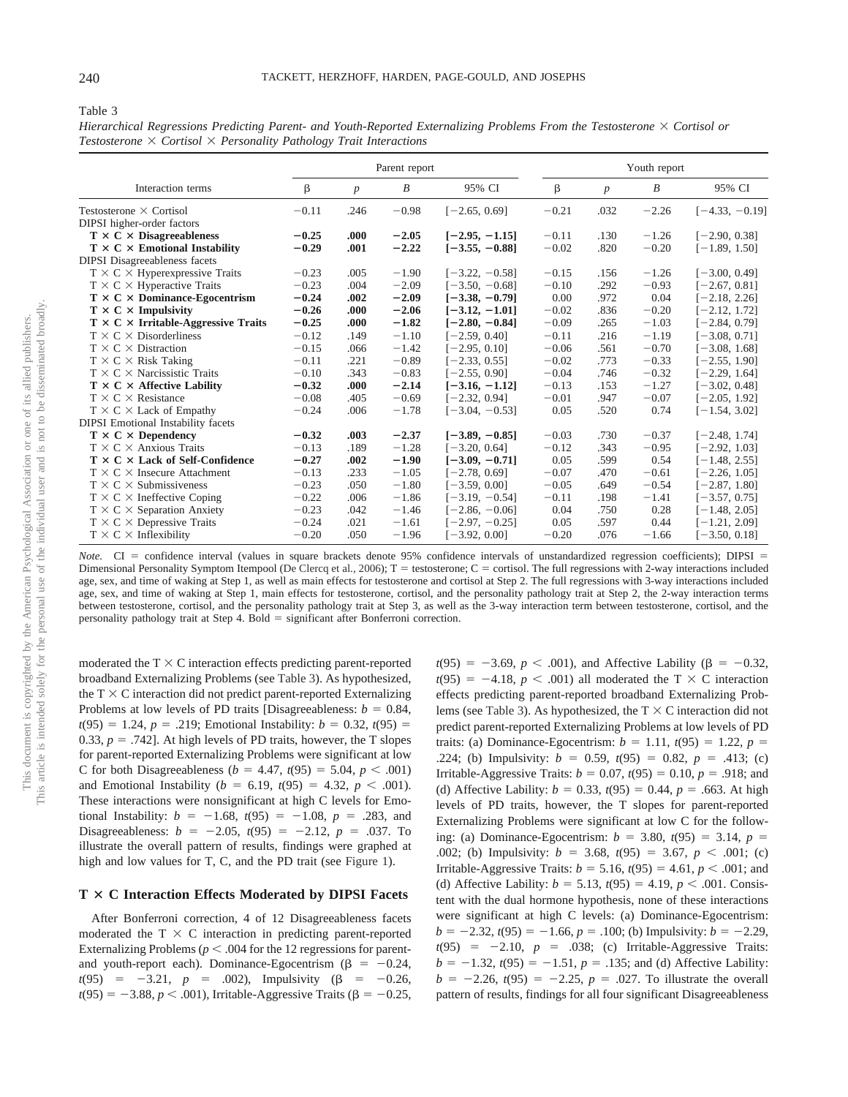|                                                 | Parent report |                  |                  | Youth report     |         |      |         |                  |
|-------------------------------------------------|---------------|------------------|------------------|------------------|---------|------|---------|------------------|
| Interaction terms                               | β             | $\boldsymbol{p}$ | $\boldsymbol{B}$ | 95% CI           | β       | p    | B       | 95% CI           |
| Testosterone $\times$ Cortisol                  | $-0.11$       | .246             | $-0.98$          | $[-2.65, 0.69]$  | $-0.21$ | .032 | $-2.26$ | $[-4.33, -0.19]$ |
| DIPSI higher-order factors                      |               |                  |                  |                  |         |      |         |                  |
| $T \times C \times Disagreesableness$           | $-0.25$       | .000             | $-2.05$          | $[-2.95, -1.15]$ | $-0.11$ | .130 | $-1.26$ | $[-2.90, 0.38]$  |
| $T \times C \times$ Emotional Instability       | $-0.29$       | .001             | $-2.22$          | $[-3.55, -0.88]$ | $-0.02$ | .820 | $-0.20$ | $[-1.89, 1.50]$  |
| <b>DIPSI</b> Disagreeableness facets            |               |                  |                  |                  |         |      |         |                  |
| $T \times C \times$ Hyperexpressive Traits      | $-0.23$       | .005             | $-1.90$          | $[-3.22, -0.58]$ | $-0.15$ | .156 | $-1.26$ | $[-3.00, 0.49]$  |
| $T \times C \times$ Hyperactive Traits          | $-0.23$       | .004             | $-2.09$          | $[-3.50, -0.68]$ | $-0.10$ | .292 | $-0.93$ | $[-2.67, 0.81]$  |
| $T \times C \times$ Dominance-Egocentrism       | $-0.24$       | .002             | $-2.09$          | $[-3.38, -0.79]$ | 0.00    | .972 | 0.04    | $[-2.18, 2.26]$  |
| $T \times C \times$ Impulsivity                 | $-0.26$       | .000             | $-2.06$          | $[-3.12, -1.01]$ | $-0.02$ | .836 | $-0.20$ | $[-2.12, 1.72]$  |
| $T \times C \times$ Irritable-Aggressive Traits | $-0.25$       | .000             | $-1.82$          | $[-2.80, -0.84]$ | $-0.09$ | .265 | $-1.03$ | $[-2.84, 0.79]$  |
| $T \times C \times$ Disorderliness              | $-0.12$       | .149             | $-1.10$          | $[-2.59, 0.40]$  | $-0.11$ | .216 | $-1.19$ | $[-3.08, 0.71]$  |
| $T \times C \times$ Distraction                 | $-0.15$       | .066             | $-1.42$          | $[-2.95, 0.10]$  | $-0.06$ | .561 | $-0.70$ | $[-3.08, 1.68]$  |
| $T \times C \times$ Risk Taking                 | $-0.11$       | .221             | $-0.89$          | $[-2.33, 0.55]$  | $-0.02$ | .773 | $-0.33$ | $[-2.55, 1.90]$  |
| $T \times C \times$ Narcissistic Traits         | $-0.10$       | .343             | $-0.83$          | $[-2.55, 0.90]$  | $-0.04$ | .746 | $-0.32$ | $[-2.29, 1.64]$  |
| $T \times C \times$ Affective Lability          | $-0.32$       | .000             | $-2.14$          | $[-3.16, -1.12]$ | $-0.13$ | .153 | $-1.27$ | $[-3.02, 0.48]$  |
| $T \times C \times$ Resistance                  | $-0.08$       | .405             | $-0.69$          | $[-2.32, 0.94]$  | $-0.01$ | .947 | $-0.07$ | $[-2.05, 1.92]$  |
| $T \times C \times$ Lack of Empathy             | $-0.24$       | .006             | $-1.78$          | $[-3.04, -0.53]$ | 0.05    | .520 | 0.74    | $[-1.54, 3.02]$  |
| <b>DIPSI</b> Emotional Instability facets       |               |                  |                  |                  |         |      |         |                  |
| $T \times C \times$ Dependency                  | $-0.32$       | .003             | $-2.37$          | $[-3.89, -0.85]$ | $-0.03$ | .730 | $-0.37$ | $[-2.48, 1.74]$  |
| $T \times C \times$ Anxious Traits              | $-0.13$       | .189             | $-1.28$          | $[-3.20, 0.64]$  | $-0.12$ | .343 | $-0.95$ | $[-2.92, 1.03]$  |
| $T \times C \times$ Lack of Self-Confidence     | $-0.27$       | .002             | $-1.90$          | $[-3.09, -0.71]$ | 0.05    | .599 | 0.54    | $[-1.48, 2.55]$  |
| $T \times C \times$ Insecure Attachment         | $-0.13$       | .233             | $-1.05$          | $[-2.78, 0.69]$  | $-0.07$ | .470 | $-0.61$ | $[-2.26, 1.05]$  |
| $T \times C \times$ Submissiveness              | $-0.23$       | .050             | $-1.80$          | $[-3.59, 0.00]$  | $-0.05$ | .649 | $-0.54$ | $[-2.87, 1.80]$  |
| $T \times C \times$ Ineffective Coping          | $-0.22$       | .006             | $-1.86$          | $[-3.19, -0.54]$ | $-0.11$ | .198 | $-1.41$ | $[-3.57, 0.75]$  |
| $T \times C \times$ Separation Anxiety          | $-0.23$       | .042             | $-1.46$          | $[-2.86, -0.06]$ | 0.04    | .750 | 0.28    | $[-1.48, 2.05]$  |
| $T \times C \times$ Depressive Traits           | $-0.24$       | .021             | $-1.61$          | $[-2.97, -0.25]$ | 0.05    | .597 | 0.44    | $[-1.21, 2.09]$  |
| $T \times C \times$ Inflexibility               | $-0.20$       | .050             | $-1.96$          | $[-3.92, 0.00]$  | $-0.20$ | .076 | $-1.66$ | $[-3.50, 0.18]$  |

Hierarchical Regressions Predicting Parent- and Youth-Reported Externalizing Problems From the Testosterone  $\times$  Cortisol or Testosterone  $\times$  Cortisol  $\times$  Personality Pathology Trait Interactions

*Note.* CI = confidence interval (values in square brackets denote 95% confidence intervals of unstandardized regression coefficients); DIPSI = Dimensional Personality Symptom Itempool (De Clercq et al., 2006);  $T =$  testosterone;  $C =$  cortisol. The full regressions with 2-way interactions included age, sex, and time of waking at Step 1, as well as main effects for testosterone and cortisol at Step 2. The full regressions with 3-way interactions included age, sex, and time of waking at Step 1, main effects for testosterone, cortisol, and the personality pathology trait at Step 2, the 2-way interaction terms between testosterone, cortisol, and the personality pathology trait at Step 3, as well as the 3-way interaction term between testosterone, cortisol, and the personality pathology trait at Step 4. Bold = significant after Bonferroni correction.

moderated the  $T \times C$  interaction effects predicting parent-reported broadband Externalizing Problems (see Table 3). As hypothesized, the  $T \times C$  interaction did not predict parent-reported Externalizing Problems at low levels of PD traits [Disagreeableness:  $b = 0.84$ ,  $t(95) = 1.24$ ,  $p = .219$ ; Emotional Instability:  $b = 0.32$ ,  $t(95) =$ 0.33,  $p = .742$ ]. At high levels of PD traits, however, the T slopes for parent-reported Externalizing Problems were significant at low C for both Disagreeableness ( $b = 4.47$ ,  $t(95) = 5.04$ ,  $p < .001$ ) and Emotional Instability ( $b = 6.19$ ,  $t(95) = 4.32$ ,  $p < .001$ ). These interactions were nonsignificant at high C levels for Emotional Instability:  $b = -1.68$ ,  $t(95) = -1.08$ ,  $p = .283$ , and Disagreeableness:  $b = -2.05$ ,  $t(95) = -2.12$ ,  $p = .037$ . To illustrate the overall pattern of results, findings were graphed at high and low values for T, C, and the PD trait (see Figure 1).

## T  $\times$  C Interaction Effects Moderated by DIPSI Facets

After Bonferroni correction, 4 of 12 Disagreeableness facets moderated the  $T \times C$  interaction in predicting parent-reported Externalizing Problems ( $p < .004$  for the 12 regressions for parentand youth-report each). Dominance-Egocentrism ( $\beta = -0.24$ ,  $t(95) = -3.21$ ,  $p = .002$ ), Impulsivity ( $\beta = -0.26$ ,  $t(95) = -3.88, p < .001$ ), Irritable-Aggressive Traits ( $\beta = -0.25$ ,  $t(95) = -3.69, p < .001$ , and Affective Lability ( $\beta = -0.32$ ,  $t(95) = -4.18$ ,  $p < .001$ ) all moderated the T  $\times$  C interaction effects predicting parent-reported broadband Externalizing Problems (see Table 3). As hypothesized, the  $T \times C$  interaction did not predict parent-reported Externalizing Problems at low levels of PD traits: (a) Dominance-Egocentrism:  $b = 1.11$ ,  $t(95) = 1.22$ ,  $p =$ .224; (b) Impulsivity:  $b = 0.59$ ,  $t(95) = 0.82$ ,  $p = .413$ ; (c) Irritable-Aggressive Traits:  $b = 0.07$ ,  $t(95) = 0.10$ ,  $p = .918$ ; and (d) Affective Lability:  $b = 0.33$ ,  $t(95) = 0.44$ ,  $p = .663$ . At high levels of PD traits, however, the T slopes for parent-reported Externalizing Problems were significant at low C for the following: (a) Dominance-Egocentrism:  $b = 3.80, t(95) = 3.14, p =$ .002; (b) Impulsivity:  $b = 3.68$ ,  $t(95) = 3.67$ ,  $p < .001$ ; (c) Irritable-Aggressive Traits:  $b = 5.16$ ,  $t(95) = 4.61$ ,  $p < .001$ ; and (d) Affective Lability:  $b = 5.13$ ,  $t(95) = 4.19$ ,  $p < .001$ . Consistent with the dual hormone hypothesis, none of these interactions were significant at high C levels: (a) Dominance-Egocentrism:  $b = -2.32$ ,  $t(95) = -1.66$ ,  $p = .100$ ; (b) Impulsivity:  $b = -2.29$ ,  $t(95) = -2.10$ ,  $p = .038$ ; (c) Irritable-Aggressive Traits:  $b = -1.32$ ,  $t(95) = -1.51$ ,  $p = .135$ ; and (d) Affective Lability:  $b = -2.26$ ,  $t(95) = -2.25$ ,  $p = .027$ . To illustrate the overall pattern of results, findings for all four significant Disagreeableness

Table 3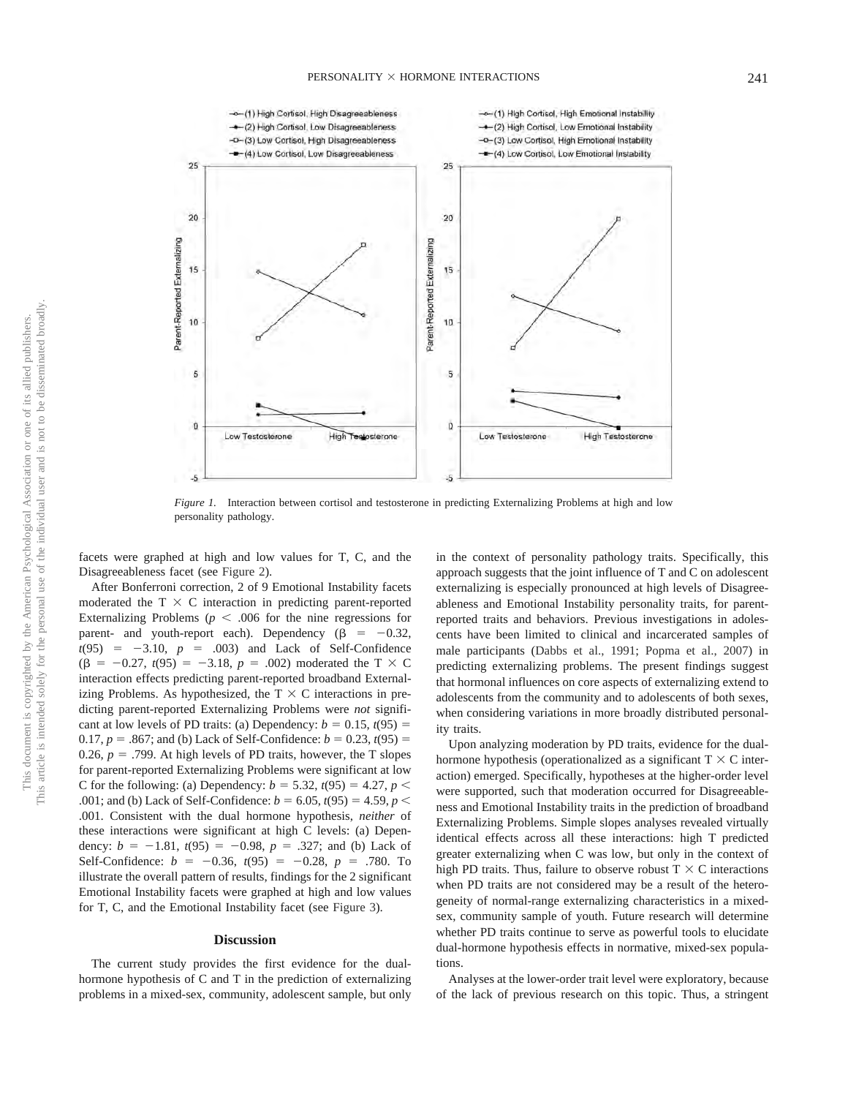

*Figure 1.* Interaction between cortisol and testosterone in predicting Externalizing Problems at high and low personality pathology.

facets were graphed at high and low values for T, C, and the Disagreeableness facet (see Figure 2).

After Bonferroni correction, 2 of 9 Emotional Instability facets moderated the  $T \times C$  interaction in predicting parent-reported Externalizing Problems ( $p < .006$  for the nine regressions for parent- and youth-report each). Dependency  $(\beta = -0.32,$  $t(95) = -3.10$ ,  $p = .003$ ) and Lack of Self-Confidence  $(\beta = -0.27, t(95) = -3.18, p = .002)$  moderated the T  $\times$  C interaction effects predicting parent-reported broadband Externalizing Problems. As hypothesized, the  $T \times C$  interactions in predicting parent-reported Externalizing Problems were *not* significant at low levels of PD traits: (a) Dependency:  $b = 0.15$ ,  $t(95) =$ 0.17,  $p = .867$ ; and (b) Lack of Self-Confidence:  $b = 0.23$ ,  $t(95) =$ 0.26,  $p = .799$ . At high levels of PD traits, however, the T slopes for parent-reported Externalizing Problems were significant at low C for the following: (a) Dependency:  $b = 5.32$ ,  $t(95) = 4.27$ ,  $p <$ .001; and (b) Lack of Self-Confidence:  $b = 6.05$ ,  $t(95) = 4.59$ ,  $p <$ .001. Consistent with the dual hormone hypothesis, *neither* of these interactions were significant at high C levels: (a) Dependency:  $b = -1.81$ ,  $t(95) = -0.98$ ,  $p = .327$ ; and (b) Lack of Self-Confidence:  $b = -0.36$ ,  $t(95) = -0.28$ ,  $p = .780$ . To illustrate the overall pattern of results, findings for the 2 significant Emotional Instability facets were graphed at high and low values for T, C, and the Emotional Instability facet (see Figure 3).

#### **Discussion**

The current study provides the first evidence for the dualhormone hypothesis of C and T in the prediction of externalizing problems in a mixed-sex, community, adolescent sample, but only in the context of personality pathology traits. Specifically, this approach suggests that the joint influence of T and C on adolescent externalizing is especially pronounced at high levels of Disagreeableness and Emotional Instability personality traits, for parentreported traits and behaviors. Previous investigations in adolescents have been limited to clinical and incarcerated samples of male participants (Dabbs et al., 1991; Popma et al., 2007) in predicting externalizing problems. The present findings suggest that hormonal influences on core aspects of externalizing extend to adolescents from the community and to adolescents of both sexes, when considering variations in more broadly distributed personality traits.

Upon analyzing moderation by PD traits, evidence for the dualhormone hypothesis (operationalized as a significant  $T \times C$  interaction) emerged. Specifically, hypotheses at the higher-order level were supported, such that moderation occurred for Disagreeableness and Emotional Instability traits in the prediction of broadband Externalizing Problems. Simple slopes analyses revealed virtually identical effects across all these interactions: high T predicted greater externalizing when C was low, but only in the context of high PD traits. Thus, failure to observe robust  $T \times C$  interactions when PD traits are not considered may be a result of the heterogeneity of normal-range externalizing characteristics in a mixedsex, community sample of youth. Future research will determine whether PD traits continue to serve as powerful tools to elucidate dual-hormone hypothesis effects in normative, mixed-sex populations.

Analyses at the lower-order trait level were exploratory, because of the lack of previous research on this topic. Thus, a stringent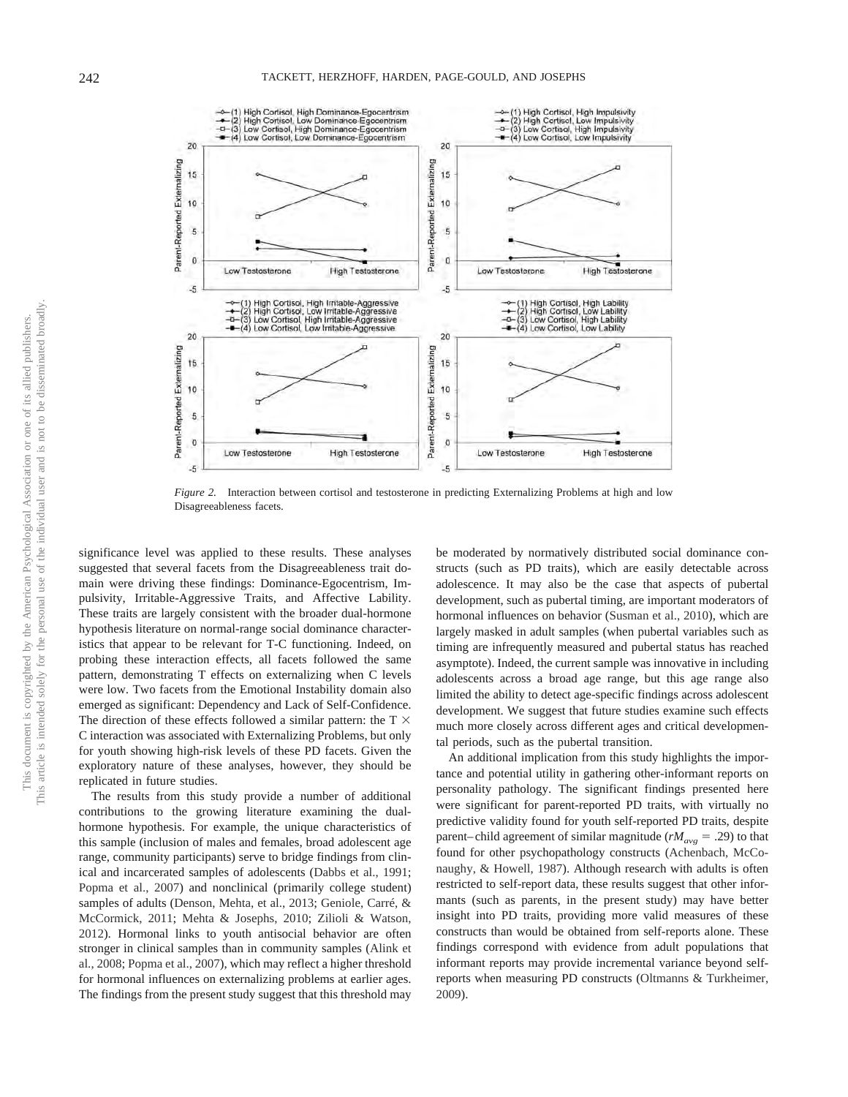

*Figure 2.* Interaction between cortisol and testosterone in predicting Externalizing Problems at high and low Disagreeableness facets.

significance level was applied to these results. These analyses suggested that several facets from the Disagreeableness trait domain were driving these findings: Dominance-Egocentrism, Impulsivity, Irritable-Aggressive Traits, and Affective Lability. These traits are largely consistent with the broader dual-hormone hypothesis literature on normal-range social dominance characteristics that appear to be relevant for T-C functioning. Indeed, on probing these interaction effects, all facets followed the same pattern, demonstrating T effects on externalizing when C levels were low. Two facets from the Emotional Instability domain also emerged as significant: Dependency and Lack of Self-Confidence. The direction of these effects followed a similar pattern: the T  $\times$ C interaction was associated with Externalizing Problems, but only for youth showing high-risk levels of these PD facets. Given the exploratory nature of these analyses, however, they should be replicated in future studies.

The results from this study provide a number of additional contributions to the growing literature examining the dualhormone hypothesis. For example, the unique characteristics of this sample (inclusion of males and females, broad adolescent age range, community participants) serve to bridge findings from clinical and incarcerated samples of adolescents (Dabbs et al., 1991; Popma et al., 2007) and nonclinical (primarily college student) samples of adults (Denson, Mehta, et al., 2013; Geniole, Carré, & McCormick, 2011; Mehta & Josephs, 2010; Zilioli & Watson, 2012). Hormonal links to youth antisocial behavior are often stronger in clinical samples than in community samples (Alink et al., 2008; Popma et al., 2007), which may reflect a higher threshold for hormonal influences on externalizing problems at earlier ages. The findings from the present study suggest that this threshold may

be moderated by normatively distributed social dominance constructs (such as PD traits), which are easily detectable across adolescence. It may also be the case that aspects of pubertal development, such as pubertal timing, are important moderators of hormonal influences on behavior (Susman et al., 2010), which are largely masked in adult samples (when pubertal variables such as timing are infrequently measured and pubertal status has reached asymptote). Indeed, the current sample was innovative in including adolescents across a broad age range, but this age range also limited the ability to detect age-specific findings across adolescent development. We suggest that future studies examine such effects much more closely across different ages and critical developmental periods, such as the pubertal transition.

An additional implication from this study highlights the importance and potential utility in gathering other-informant reports on personality pathology. The significant findings presented here were significant for parent-reported PD traits, with virtually no predictive validity found for youth self-reported PD traits, despite parent–child agreement of similar magnitude ( $rM_{ave}$  = .29) to that found for other psychopathology constructs (Achenbach, McConaughy, & Howell, 1987). Although research with adults is often restricted to self-report data, these results suggest that other informants (such as parents, in the present study) may have better insight into PD traits, providing more valid measures of these constructs than would be obtained from self-reports alone. These findings correspond with evidence from adult populations that informant reports may provide incremental variance beyond selfreports when measuring PD constructs (Oltmanns & Turkheimer, 2009).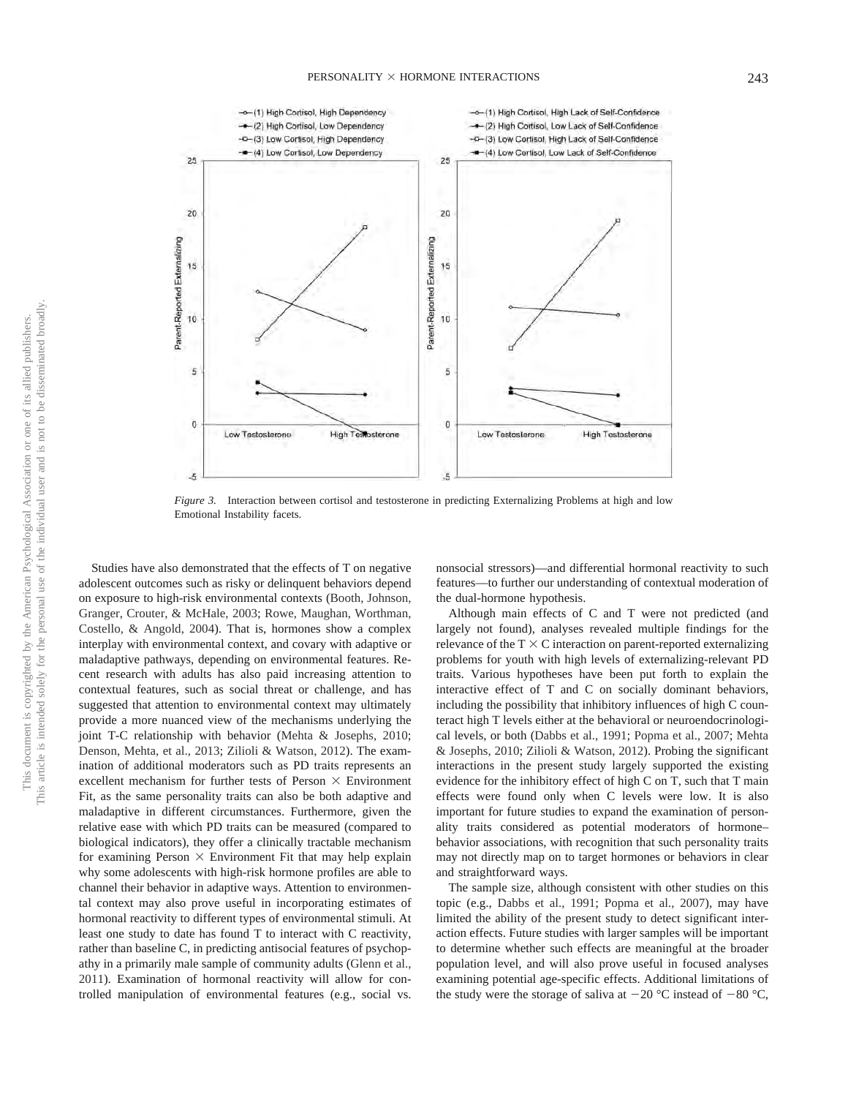

*Figure 3.* Interaction between cortisol and testosterone in predicting Externalizing Problems at high and low Emotional Instability facets.

Studies have also demonstrated that the effects of T on negative adolescent outcomes such as risky or delinquent behaviors depend on exposure to high-risk environmental contexts (Booth, Johnson, Granger, Crouter, & McHale, 2003; Rowe, Maughan, Worthman, Costello, & Angold, 2004). That is, hormones show a complex interplay with environmental context, and covary with adaptive or maladaptive pathways, depending on environmental features. Recent research with adults has also paid increasing attention to contextual features, such as social threat or challenge, and has suggested that attention to environmental context may ultimately provide a more nuanced view of the mechanisms underlying the joint T-C relationship with behavior (Mehta & Josephs, 2010; Denson, Mehta, et al., 2013; Zilioli & Watson, 2012). The examination of additional moderators such as PD traits represents an excellent mechanism for further tests of Person  $\times$  Environment Fit, as the same personality traits can also be both adaptive and maladaptive in different circumstances. Furthermore, given the relative ease with which PD traits can be measured (compared to biological indicators), they offer a clinically tractable mechanism for examining Person  $\times$  Environment Fit that may help explain why some adolescents with high-risk hormone profiles are able to channel their behavior in adaptive ways. Attention to environmental context may also prove useful in incorporating estimates of hormonal reactivity to different types of environmental stimuli. At least one study to date has found T to interact with C reactivity, rather than baseline C, in predicting antisocial features of psychopathy in a primarily male sample of community adults (Glenn et al., 2011). Examination of hormonal reactivity will allow for controlled manipulation of environmental features (e.g., social vs.

nonsocial stressors)—and differential hormonal reactivity to such features—to further our understanding of contextual moderation of the dual-hormone hypothesis.

Although main effects of C and T were not predicted (and largely not found), analyses revealed multiple findings for the relevance of the  $T \times C$  interaction on parent-reported externalizing problems for youth with high levels of externalizing-relevant PD traits. Various hypotheses have been put forth to explain the interactive effect of T and C on socially dominant behaviors, including the possibility that inhibitory influences of high C counteract high T levels either at the behavioral or neuroendocrinological levels, or both (Dabbs et al., 1991; Popma et al., 2007; Mehta & Josephs, 2010; Zilioli & Watson, 2012). Probing the significant interactions in the present study largely supported the existing evidence for the inhibitory effect of high C on T, such that T main effects were found only when C levels were low. It is also important for future studies to expand the examination of personality traits considered as potential moderators of hormone– behavior associations, with recognition that such personality traits may not directly map on to target hormones or behaviors in clear and straightforward ways.

The sample size, although consistent with other studies on this topic (e.g., Dabbs et al., 1991; Popma et al., 2007), may have limited the ability of the present study to detect significant interaction effects. Future studies with larger samples will be important to determine whether such effects are meaningful at the broader population level, and will also prove useful in focused analyses examining potential age-specific effects. Additional limitations of the study were the storage of saliva at  $-20$  °C instead of  $-80$  °C,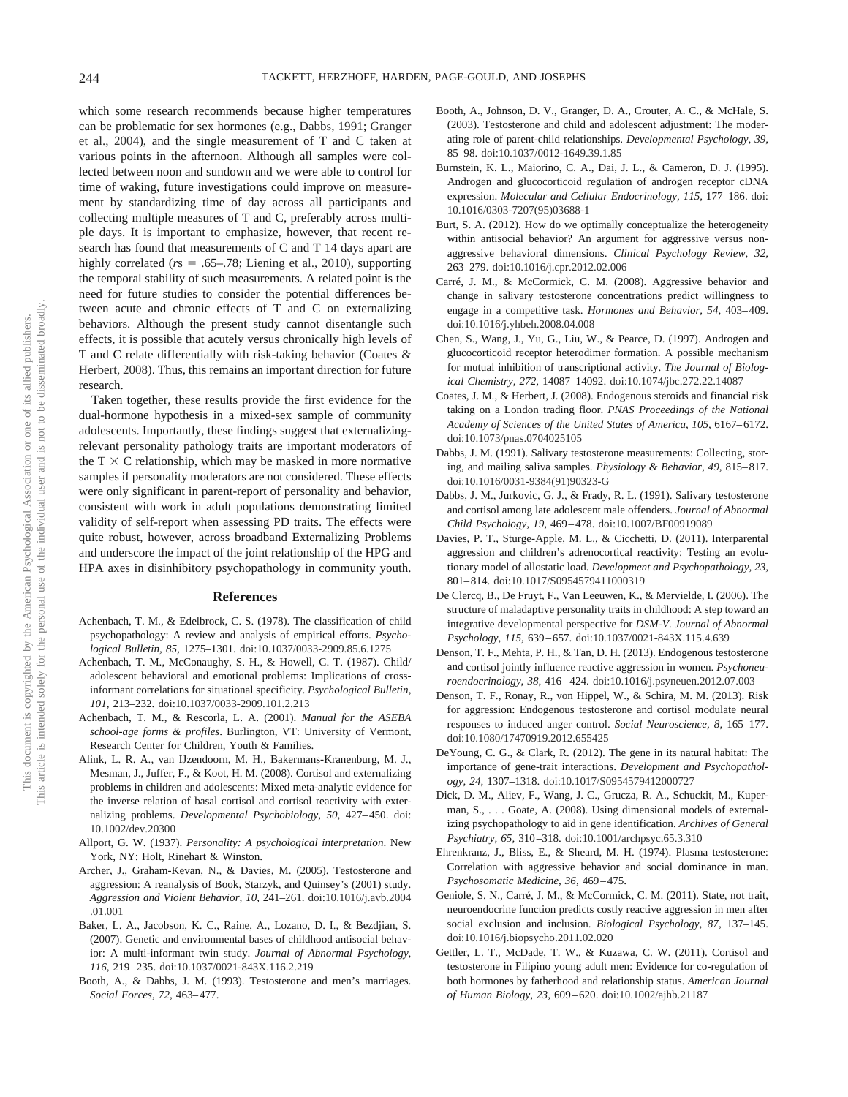This article is intended solely for the personal use of the individual user and is not to be disseminated broadly.

which some research recommends because higher temperatures can be problematic for sex hormones (e.g., Dabbs, 1991; Granger et al., 2004), and the single measurement of T and C taken at various points in the afternoon. Although all samples were collected between noon and sundown and we were able to control for time of waking, future investigations could improve on measurement by standardizing time of day across all participants and collecting multiple measures of T and C, preferably across multiple days. It is important to emphasize, however, that recent research has found that measurements of C and T 14 days apart are highly correlated ( $rs = .65-.78$ ; Liening et al., 2010), supporting the temporal stability of such measurements. A related point is the need for future studies to consider the potential differences between acute and chronic effects of T and C on externalizing behaviors. Although the present study cannot disentangle such effects, it is possible that acutely versus chronically high levels of T and C relate differentially with risk-taking behavior (Coates & Herbert, 2008). Thus, this remains an important direction for future research.

Taken together, these results provide the first evidence for the dual-hormone hypothesis in a mixed-sex sample of community adolescents. Importantly, these findings suggest that externalizingrelevant personality pathology traits are important moderators of the  $T \times C$  relationship, which may be masked in more normative samples if personality moderators are not considered. These effects were only significant in parent-report of personality and behavior, consistent with work in adult populations demonstrating limited validity of self-report when assessing PD traits. The effects were quite robust, however, across broadband Externalizing Problems and underscore the impact of the joint relationship of the HPG and HPA axes in disinhibitory psychopathology in community youth.

#### **References**

- Achenbach, T. M., & Edelbrock, C. S. (1978). The classification of child psychopathology: A review and analysis of empirical efforts. *Psychological Bulletin, 85,* 1275–1301. doi:10.1037/0033-2909.85.6.1275
- Achenbach, T. M., McConaughy, S. H., & Howell, C. T. (1987). Child/ adolescent behavioral and emotional problems: Implications of crossinformant correlations for situational specificity. *Psychological Bulletin, 101,* 213–232. doi:10.1037/0033-2909.101.2.213
- Achenbach, T. M., & Rescorla, L. A. (2001). *Manual for the ASEBA school-age forms & profiles*. Burlington, VT: University of Vermont, Research Center for Children, Youth & Families.
- Alink, L. R. A., van IJzendoorn, M. H., Bakermans-Kranenburg, M. J., Mesman, J., Juffer, F., & Koot, H. M. (2008). Cortisol and externalizing problems in children and adolescents: Mixed meta-analytic evidence for the inverse relation of basal cortisol and cortisol reactivity with externalizing problems. *Developmental Psychobiology, 50,* 427– 450. doi: 10.1002/dev.20300
- Allport, G. W. (1937). *Personality: A psychological interpretation*. New York, NY: Holt, Rinehart & Winston.
- Archer, J., Graham-Kevan, N., & Davies, M. (2005). Testosterone and aggression: A reanalysis of Book, Starzyk, and Quinsey's (2001) study. *Aggression and Violent Behavior, 10,* 241–261. doi:10.1016/j.avb.2004 .01.001
- Baker, L. A., Jacobson, K. C., Raine, A., Lozano, D. I., & Bezdjian, S. (2007). Genetic and environmental bases of childhood antisocial behavior: A multi-informant twin study. *Journal of Abnormal Psychology, 116,* 219 –235. doi:10.1037/0021-843X.116.2.219
- Booth, A., & Dabbs, J. M. (1993). Testosterone and men's marriages. *Social Forces, 72,* 463– 477.
- Booth, A., Johnson, D. V., Granger, D. A., Crouter, A. C., & McHale, S. (2003). Testosterone and child and adolescent adjustment: The moderating role of parent-child relationships. *Developmental Psychology, 39,* 85–98. doi:10.1037/0012-1649.39.1.85
- Burnstein, K. L., Maiorino, C. A., Dai, J. L., & Cameron, D. J. (1995). Androgen and glucocorticoid regulation of androgen receptor cDNA expression. *Molecular and Cellular Endocrinology, 115,* 177–186. doi: 10.1016/0303-7207(95)03688-1
- Burt, S. A. (2012). How do we optimally conceptualize the heterogeneity within antisocial behavior? An argument for aggressive versus nonaggressive behavioral dimensions. *Clinical Psychology Review, 32,* 263–279. doi:10.1016/j.cpr.2012.02.006
- Carré, J. M., & McCormick, C. M. (2008). Aggressive behavior and change in salivary testosterone concentrations predict willingness to engage in a competitive task. *Hormones and Behavior*, 54, 403-409. doi:10.1016/j.yhbeh.2008.04.008
- Chen, S., Wang, J., Yu, G., Liu, W., & Pearce, D. (1997). Androgen and glucocorticoid receptor heterodimer formation. A possible mechanism for mutual inhibition of transcriptional activity. *The Journal of Biological Chemistry, 272,* 14087–14092. doi:10.1074/jbc.272.22.14087
- Coates, J. M., & Herbert, J. (2008). Endogenous steroids and financial risk taking on a London trading floor. *PNAS Proceedings of the National Academy of Sciences of the United States of America, 105,* 6167– 6172. doi:10.1073/pnas.0704025105
- Dabbs, J. M. (1991). Salivary testosterone measurements: Collecting, storing, and mailing saliva samples. *Physiology & Behavior, 49,* 815– 817. doi:10.1016/0031-9384(91)90323-G
- Dabbs, J. M., Jurkovic, G. J., & Frady, R. L. (1991). Salivary testosterone and cortisol among late adolescent male offenders. *Journal of Abnormal Child Psychology, 19,* 469 – 478. doi:10.1007/BF00919089
- Davies, P. T., Sturge-Apple, M. L., & Cicchetti, D. (2011). Interparental aggression and children's adrenocortical reactivity: Testing an evolutionary model of allostatic load. *Development and Psychopathology, 23,* 801– 814. doi:10.1017/S0954579411000319
- De Clercq, B., De Fruyt, F., Van Leeuwen, K., & Mervielde, I. (2006). The structure of maladaptive personality traits in childhood: A step toward an integrative developmental perspective for *DSM-V*. *Journal of Abnormal Psychology, 115,* 639 – 657. doi:10.1037/0021-843X.115.4.639
- Denson, T. F., Mehta, P. H., & Tan, D. H. (2013). Endogenous testosterone and cortisol jointly influence reactive aggression in women. *Psychoneuroendocrinology, 38,* 416 – 424. doi:10.1016/j.psyneuen.2012.07.003
- Denson, T. F., Ronay, R., von Hippel, W., & Schira, M. M. (2013). Risk for aggression: Endogenous testosterone and cortisol modulate neural responses to induced anger control. *Social Neuroscience, 8,* 165–177. doi:10.1080/17470919.2012.655425
- DeYoung, C. G., & Clark, R. (2012). The gene in its natural habitat: The importance of gene-trait interactions. *Development and Psychopathology, 24,* 1307–1318. doi:10.1017/S0954579412000727
- Dick, D. M., Aliev, F., Wang, J. C., Grucza, R. A., Schuckit, M., Kuperman, S., . . . Goate, A. (2008). Using dimensional models of externalizing psychopathology to aid in gene identification. *Archives of General Psychiatry, 65,* 310 –318. doi:10.1001/archpsyc.65.3.310
- Ehrenkranz, J., Bliss, E., & Sheard, M. H. (1974). Plasma testosterone: Correlation with aggressive behavior and social dominance in man. *Psychosomatic Medicine, 36,* 469 – 475.
- Geniole, S. N., Carré, J. M., & McCormick, C. M. (2011). State, not trait, neuroendocrine function predicts costly reactive aggression in men after social exclusion and inclusion. *Biological Psychology, 87,* 137–145. doi:10.1016/j.biopsycho.2011.02.020
- Gettler, L. T., McDade, T. W., & Kuzawa, C. W. (2011). Cortisol and testosterone in Filipino young adult men: Evidence for co-regulation of both hormones by fatherhood and relationship status. *American Journal of Human Biology, 23,* 609 – 620. doi:10.1002/ajhb.21187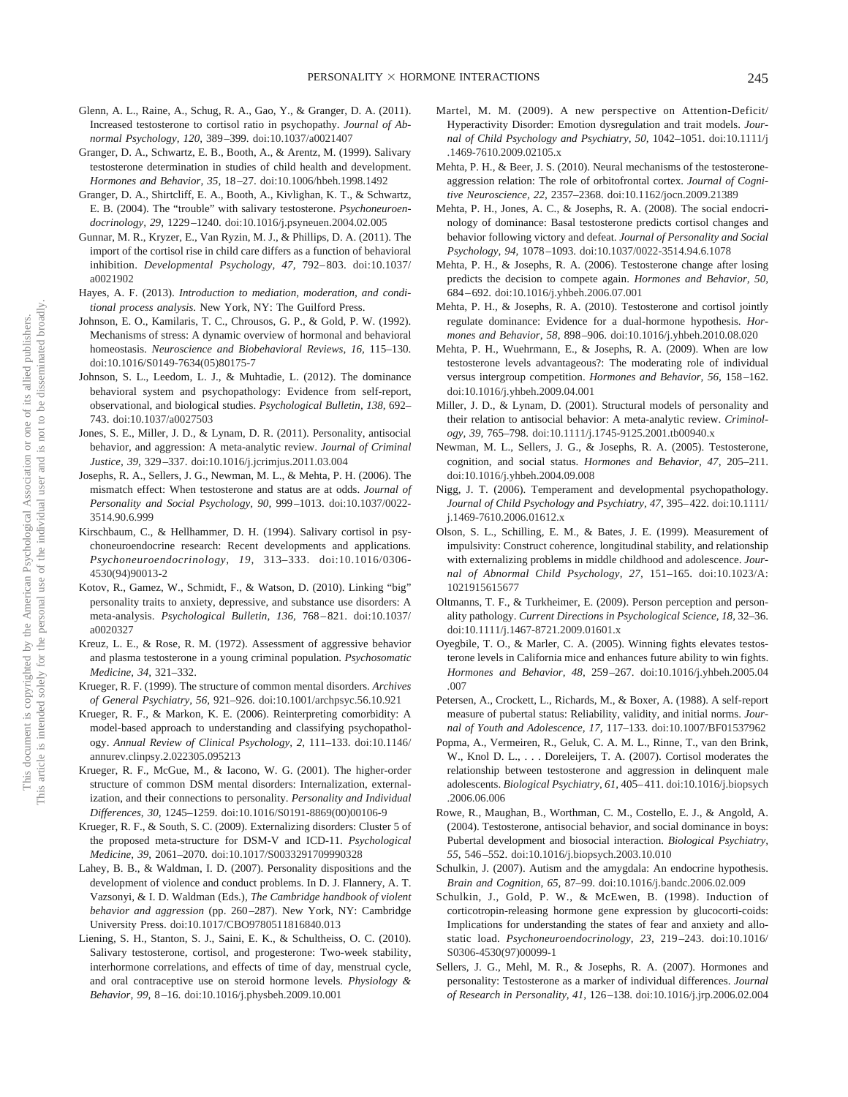- Glenn, A. L., Raine, A., Schug, R. A., Gao, Y., & Granger, D. A. (2011). Increased testosterone to cortisol ratio in psychopathy. *Journal of Abnormal Psychology, 120,* 389 –399. doi:10.1037/a0021407
- Granger, D. A., Schwartz, E. B., Booth, A., & Arentz, M. (1999). Salivary testosterone determination in studies of child health and development. *Hormones and Behavior, 35,* 18 –27. doi:10.1006/hbeh.1998.1492
- Granger, D. A., Shirtcliff, E. A., Booth, A., Kivlighan, K. T., & Schwartz, E. B. (2004). The "trouble" with salivary testosterone. *Psychoneuroendocrinology, 29,* 1229 –1240. doi:10.1016/j.psyneuen.2004.02.005
- Gunnar, M. R., Kryzer, E., Van Ryzin, M. J., & Phillips, D. A. (2011). The import of the cortisol rise in child care differs as a function of behavioral inhibition. *Developmental Psychology, 47,* 792– 803. doi:10.1037/ a0021902
- Hayes, A. F. (2013). *Introduction to mediation, moderation, and conditional process analysis*. New York, NY: The Guilford Press.
- Johnson, E. O., Kamilaris, T. C., Chrousos, G. P., & Gold, P. W. (1992). Mechanisms of stress: A dynamic overview of hormonal and behavioral homeostasis. *Neuroscience and Biobehavioral Reviews, 16,* 115–130. doi:10.1016/S0149-7634(05)80175-7
- Johnson, S. L., Leedom, L. J., & Muhtadie, L. (2012). The dominance behavioral system and psychopathology: Evidence from self-report, observational, and biological studies. *Psychological Bulletin, 138,* 692– 743. doi:10.1037/a0027503
- Jones, S. E., Miller, J. D., & Lynam, D. R. (2011). Personality, antisocial behavior, and aggression: A meta-analytic review. *Journal of Criminal Justice, 39,* 329 –337. doi:10.1016/j.jcrimjus.2011.03.004
- Josephs, R. A., Sellers, J. G., Newman, M. L., & Mehta, P. H. (2006). The mismatch effect: When testosterone and status are at odds. *Journal of Personality and Social Psychology, 90,* 999 –1013. doi:10.1037/0022- 3514.90.6.999
- Kirschbaum, C., & Hellhammer, D. H. (1994). Salivary cortisol in psychoneuroendocrine research: Recent developments and applications. *Psychoneuroendocrinology, 19,* 313–333. doi:10.1016/0306- 4530(94)90013-2
- Kotov, R., Gamez, W., Schmidt, F., & Watson, D. (2010). Linking "big" personality traits to anxiety, depressive, and substance use disorders: A meta-analysis. *Psychological Bulletin, 136,* 768 – 821. doi:10.1037/ a0020327
- Kreuz, L. E., & Rose, R. M. (1972). Assessment of aggressive behavior and plasma testosterone in a young criminal population. *Psychosomatic Medicine, 34,* 321–332.
- Krueger, R. F. (1999). The structure of common mental disorders. *Archives of General Psychiatry, 56,* 921–926. doi:10.1001/archpsyc.56.10.921
- Krueger, R. F., & Markon, K. E. (2006). Reinterpreting comorbidity: A model-based approach to understanding and classifying psychopathology. *Annual Review of Clinical Psychology, 2,* 111–133. doi:10.1146/ annurev.clinpsy.2.022305.095213
- Krueger, R. F., McGue, M., & Iacono, W. G. (2001). The higher-order structure of common DSM mental disorders: Internalization, externalization, and their connections to personality. *Personality and Individual Differences, 30,* 1245–1259. doi:10.1016/S0191-8869(00)00106-9
- Krueger, R. F., & South, S. C. (2009). Externalizing disorders: Cluster 5 of the proposed meta-structure for DSM-V and ICD-11. *Psychological Medicine, 39,* 2061–2070. doi:10.1017/S0033291709990328
- Lahey, B. B., & Waldman, I. D. (2007). Personality dispositions and the development of violence and conduct problems. In D. J. Flannery, A. T. Vazsonyi, & I. D. Waldman (Eds.), *The Cambridge handbook of violent behavior and aggression* (pp. 260 –287). New York, NY: Cambridge University Press. doi:10.1017/CBO9780511816840.013
- Liening, S. H., Stanton, S. J., Saini, E. K., & Schultheiss, O. C. (2010). Salivary testosterone, cortisol, and progesterone: Two-week stability, interhormone correlations, and effects of time of day, menstrual cycle, and oral contraceptive use on steroid hormone levels. *Physiology & Behavior, 99,* 8–16. doi:10.1016/j.physbeh.2009.10.001
- Martel, M. M. (2009). A new perspective on Attention-Deficit/ Hyperactivity Disorder: Emotion dysregulation and trait models. *Journal of Child Psychology and Psychiatry, 50,* 1042–1051. doi:10.1111/j .1469-7610.2009.02105.x
- Mehta, P. H., & Beer, J. S. (2010). Neural mechanisms of the testosteroneaggression relation: The role of orbitofrontal cortex. *Journal of Cognitive Neuroscience, 22,* 2357–2368. doi:10.1162/jocn.2009.21389
- Mehta, P. H., Jones, A. C., & Josephs, R. A. (2008). The social endocrinology of dominance: Basal testosterone predicts cortisol changes and behavior following victory and defeat. *Journal of Personality and Social Psychology, 94,* 1078 –1093. doi:10.1037/0022-3514.94.6.1078
- Mehta, P. H., & Josephs, R. A. (2006). Testosterone change after losing predicts the decision to compete again. *Hormones and Behavior, 50,* 684 – 692. doi:10.1016/j.yhbeh.2006.07.001
- Mehta, P. H., & Josephs, R. A. (2010). Testosterone and cortisol jointly regulate dominance: Evidence for a dual-hormone hypothesis. *Hormones and Behavior, 58,* 898 –906. doi:10.1016/j.yhbeh.2010.08.020
- Mehta, P. H., Wuehrmann, E., & Josephs, R. A. (2009). When are low testosterone levels advantageous?: The moderating role of individual versus intergroup competition. *Hormones and Behavior, 56,* 158 –162. doi:10.1016/j.yhbeh.2009.04.001
- Miller, J. D., & Lynam, D. (2001). Structural models of personality and their relation to antisocial behavior: A meta-analytic review. *Criminology, 39,* 765–798. doi:10.1111/j.1745-9125.2001.tb00940.x
- Newman, M. L., Sellers, J. G., & Josephs, R. A. (2005). Testosterone, cognition, and social status. *Hormones and Behavior, 47,* 205–211. doi:10.1016/j.yhbeh.2004.09.008
- Nigg, J. T. (2006). Temperament and developmental psychopathology. *Journal of Child Psychology and Psychiatry, 47,* 395– 422. doi:10.1111/ j.1469-7610.2006.01612.x
- Olson, S. L., Schilling, E. M., & Bates, J. E. (1999). Measurement of impulsivity: Construct coherence, longitudinal stability, and relationship with externalizing problems in middle childhood and adolescence. *Journal of Abnormal Child Psychology, 27,* 151–165. doi:10.1023/A: 1021915615677
- Oltmanns, T. F., & Turkheimer, E. (2009). Person perception and personality pathology. *Current Directions in Psychological Science, 18,* 32–36. doi:10.1111/j.1467-8721.2009.01601.x
- Oyegbile, T. O., & Marler, C. A. (2005). Winning fights elevates testosterone levels in California mice and enhances future ability to win fights. *Hormones and Behavior, 48,* 259 –267. doi:10.1016/j.yhbeh.2005.04 .007
- Petersen, A., Crockett, L., Richards, M., & Boxer, A. (1988). A self-report measure of pubertal status: Reliability, validity, and initial norms. *Journal of Youth and Adolescence, 17,* 117–133. doi:10.1007/BF01537962
- Popma, A., Vermeiren, R., Geluk, C. A. M. L., Rinne, T., van den Brink, W., Knol D. L., . . . Doreleijers, T. A. (2007). Cortisol moderates the relationship between testosterone and aggression in delinquent male adolescents. *Biological Psychiatry, 61,* 405– 411. doi:10.1016/j.biopsych .2006.06.006
- Rowe, R., Maughan, B., Worthman, C. M., Costello, E. J., & Angold, A. (2004). Testosterone, antisocial behavior, and social dominance in boys: Pubertal development and biosocial interaction. *Biological Psychiatry, 55,* 546 –552. doi:10.1016/j.biopsych.2003.10.010
- Schulkin, J. (2007). Autism and the amygdala: An endocrine hypothesis. *Brain and Cognition, 65,* 87–99. doi:10.1016/j.bandc.2006.02.009
- Schulkin, J., Gold, P. W., & McEwen, B. (1998). Induction of corticotropin-releasing hormone gene expression by glucocorti-coids: Implications for understanding the states of fear and anxiety and allostatic load. *Psychoneuroendocrinology, 23,* 219 –243. doi:10.1016/ S0306-4530(97)00099-1
- Sellers, J. G., Mehl, M. R., & Josephs, R. A. (2007). Hormones and personality: Testosterone as a marker of individual differences. *Journal of Research in Personality, 41,* 126 –138. doi:10.1016/j.jrp.2006.02.004